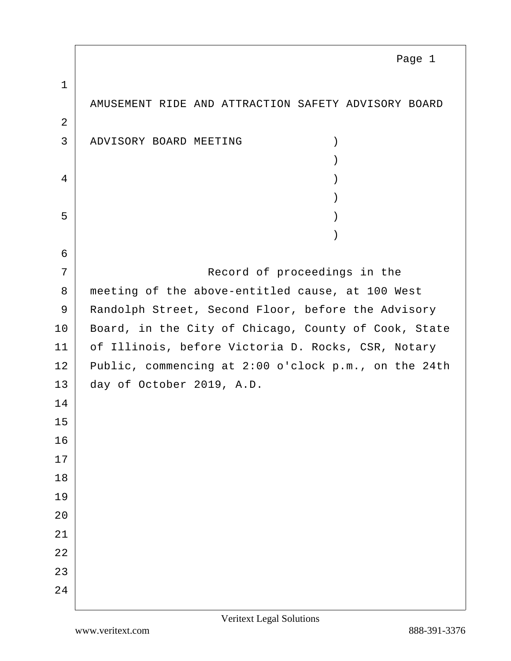1 AMUSEMENT RIDE AND ATTRACTION SAFETY ADVISORY BOARD 2 3 ADVISORY BOARD MEETING (1) )  $4 \mid$  ) )  $\overline{5}$  ) ) 6 7 Record of proceedings in the 8 meeting of the above-entitled cause, at 100 West 9 Randolph Street, Second Floor, before the Advisory 10 | Board, in the City of Chicago, County of Cook, State 11 | of Illinois, before Victoria D. Rocks, CSR, Notary 12 Public, commencing at 2:00 o'clock p.m., on the 24th 13 day of October 2019, A.D. 14 15 16 17 18 19  $20^{\circ}$ 21 22 23 24 Page 1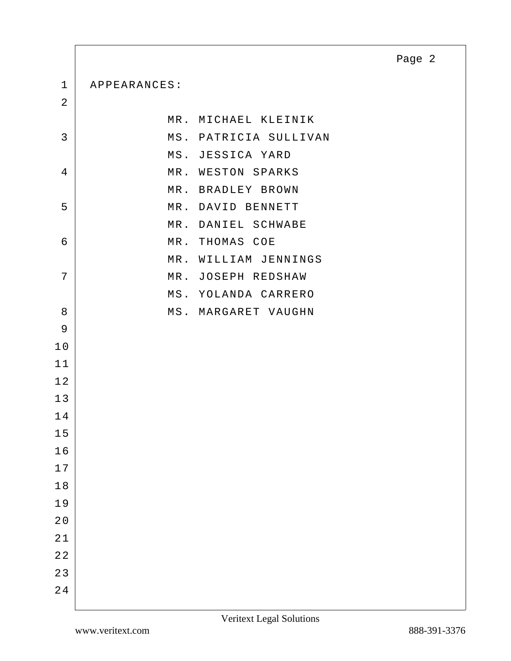1 APPEARANCES:

| $\overline{2}$ |                       |
|----------------|-----------------------|
|                | MR. MICHAEL KLEINIK   |
| 3              | MS. PATRICIA SULLIVAN |
|                | MS. JESSICA YARD      |
| $\overline{4}$ | MR. WESTON SPARKS     |
|                | MR. BRADLEY BROWN     |
| 5              | MR. DAVID BENNETT     |
|                | MR. DANIEL SCHWABE    |
| 6              | MR. THOMAS COE        |
|                | MR. WILLIAM JENNINGS  |
| 7              | MR. JOSEPH REDSHAW    |
|                | MS. YOLANDA CARRERO   |
| 8              | MS. MARGARET VAUGHN   |
| 9              |                       |
| 10             |                       |
| 11             |                       |
| 12             |                       |
| 13             |                       |
| 14             |                       |
| 15             |                       |
| 16             |                       |
| 17             |                       |
| 18             |                       |
| 19             |                       |
| $2\,0$         |                       |
| $2\,1$         |                       |
| $2\,2$         |                       |
| 23             |                       |
| $2\;4$         |                       |
|                |                       |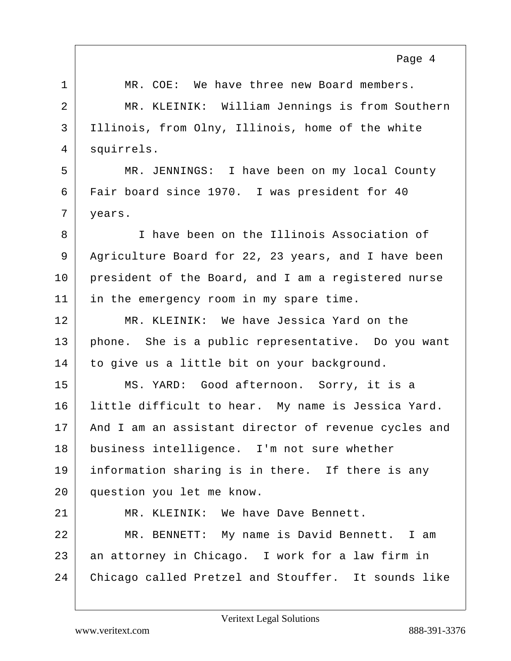1 | MR. COE: We have three new Board members. 2 MR. KLEINIK: William Jennings is from Southern 3 Illinois, from Olny, Illinois, home of the white 4 squirrels. 5 MR. JENNINGS: I have been on my local County 6 Fair board since 1970. I was president for 40 7 | years. 8 I have been on the Illinois Association of 9 Agriculture Board for 22, 23 years, and I have been 10 president of the Board, and I am a registered nurse 11 in the emergency room in my spare time. 12 MR. KLEINIK: We have Jessica Yard on the 13 phone. She is a public representative. Do you want 14 to give us a little bit on your background. 15 MS. YARD: Good afternoon. Sorry, it is a 16 | little difficult to hear. My name is Jessica Yard. 17 | And I am an assistant director of revenue cycles and 18 business intelligence. I'm not sure whether 19 information sharing is in there. If there is any 20 question you let me know. 21 MR. KLEINIK: We have Dave Bennett. 22 MR. BENNETT: My name is David Bennett. I am 23 an attorney in Chicago. I work for a law firm in 24 Chicago called Pretzel and Stouffer. It sounds like Page 4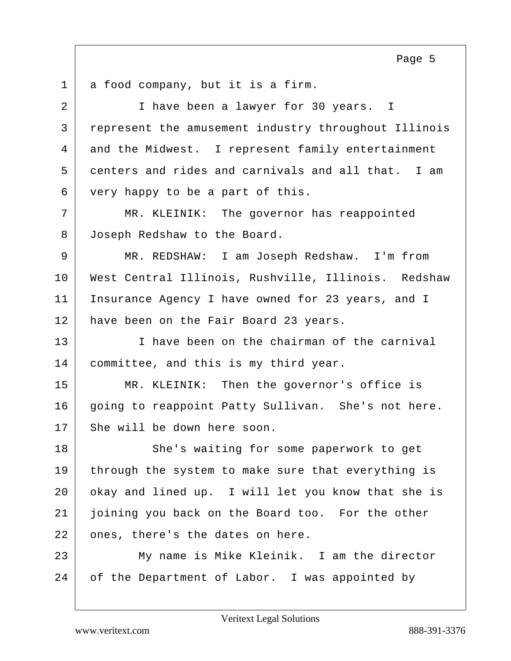$1$  a food company, but it is a firm. 2 I have been a lawyer for 30 years. I 3 represent the amusement industry throughout Illinois 4 and the Midwest. I represent family entertainment 5 centers and rides and carnivals and all that. I am 6 very happy to be a part of this. 7 MR. KLEINIK: The governor has reappointed 8 Joseph Redshaw to the Board. 9 MR. REDSHAW: I am Joseph Redshaw. I'm from 10 West Central Illinois, Rushville, Illinois. Redshaw 11 | Insurance Agency I have owned for 23 years, and I 12 | have been on the Fair Board 23 years. 13 I ave been on the chairman of the carnival 14 committee, and this is my third year. 15 MR. KLEINIK: Then the governor's office is 16 going to reappoint Patty Sullivan. She's not here. 17 She will be down here soon. 18 She's waiting for some paperwork to get 19 through the system to make sure that everything is 20 okay and lined up. I will let you know that she is 21 joining you back on the Board too. For the other 22 ones, there's the dates on here. 23 | My name is Mike Kleinik. I am the director 24 of the Department of Labor. I was appointed by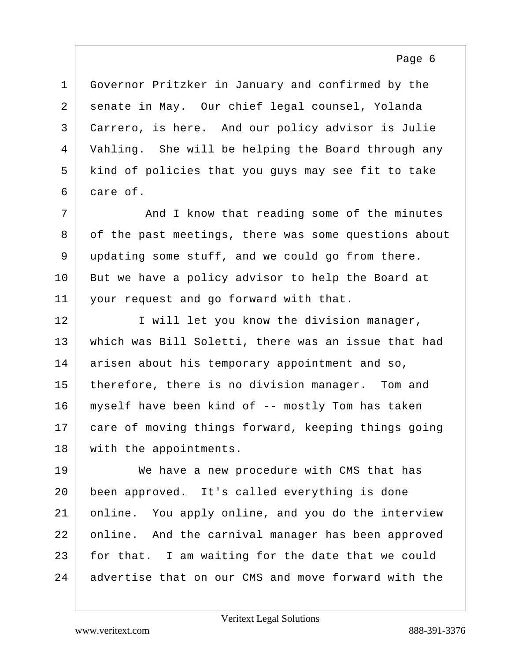Governor Pritzker in January and confirmed by the 2 senate in May. Our chief legal counsel, Yolanda Carrero, is here. And our policy advisor is Julie Vahling. She will be helping the Board through any kind of policies that you guys may see fit to take 6 care of.

7 | The Mand I know that reading some of the minutes 8 of the past meetings, there was some questions about 9 updating some stuff, and we could go from there. 10 But we have a policy advisor to help the Board at 11 your request and go forward with that.

12 I will let you know the division manager, 13 which was Bill Soletti, there was an issue that had 14 arisen about his temporary appointment and so, 15 therefore, there is no division manager. Tom and 16 myself have been kind of -- mostly Tom has taken 17 care of moving things forward, keeping things going 18 with the appointments.

19 We have a new procedure with CMS that has 20 been approved. It's called everything is done 21 online. You apply online, and you do the interview 22 online. And the carnival manager has been approved 23 for that. I am waiting for the date that we could 24 advertise that on our CMS and move forward with the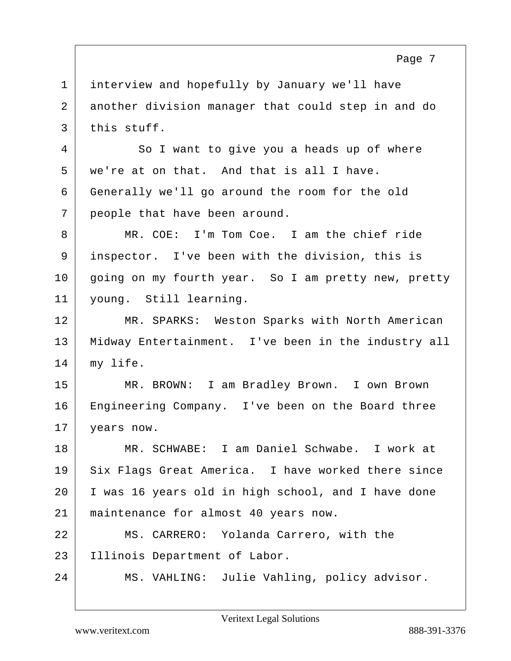1 interview and hopefully by January we'll have 2 another division manager that could step in and do  $3$  this stuff. 4 So I want to give you a heads up of where 5 we're at on that. And that is all I have.

6 Generally we'll go around the room for the old 7 | people that have been around.

8 MR. COE: I'm Tom Coe. I am the chief ride 9 inspector. I've been with the division, this is 10 going on my fourth year. So I am pretty new, pretty 11 young. Still learning.

12 MR. SPARKS: Weston Sparks with North American 13 Midway Entertainment. I've been in the industry all 14 | my life.

15 MR. BROWN: I am Bradley Brown. I own Brown 16 Engineering Company. I've been on the Board three 17 | years now.

18 MR. SCHWABE: I am Daniel Schwabe. I work at 19 Six Flags Great America. I have worked there since 20 I was 16 years old in high school, and I have done 21 maintenance for almost 40 years now.

22 MS. CARRERO: Yolanda Carrero, with the 23 Illinois Department of Labor.

24 MS. VAHLING: Julie Vahling, policy advisor.

Page 7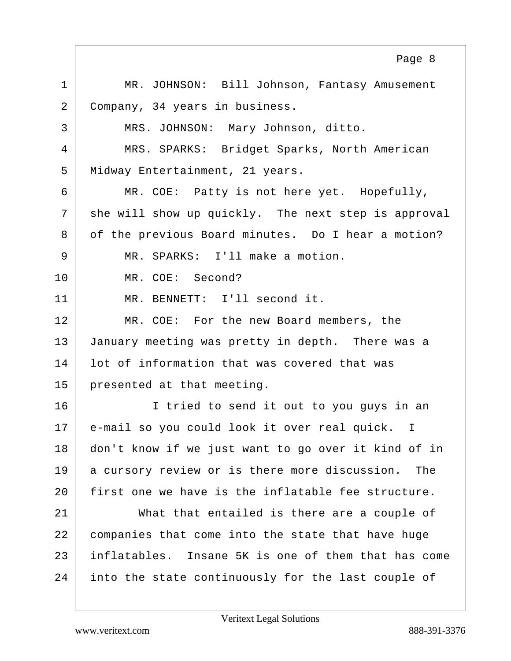|                | Page 8                                               |
|----------------|------------------------------------------------------|
| $\mathbf{1}$   | MR. JOHNSON: Bill Johnson, Fantasy Amusement         |
| $\overline{2}$ | Company, 34 years in business.                       |
| 3              | MRS. JOHNSON: Mary Johnson, ditto.                   |
| 4              | MRS. SPARKS: Bridget Sparks, North American          |
| 5              | Midway Entertainment, 21 years.                      |
| 6              | MR. COE: Patty is not here yet. Hopefully,           |
| 7              | she will show up quickly. The next step is approval  |
| 8              | of the previous Board minutes. Do I hear a motion?   |
| 9              | MR. SPARKS: I'll make a motion.                      |
| 10             | MR. COE: Second?                                     |
| 11             | MR. BENNETT: I'll second it.                         |
| 12             | MR. COE: For the new Board members, the              |
| 13             | January meeting was pretty in depth. There was a     |
| 14             | lot of information that was covered that was         |
| 15             | presented at that meeting.                           |
| 16             | I tried to send it out to you guys in an             |
| 17             | e-mail so you could look it over real quick. I       |
| 18             | don't know if we just want to go over it kind of in  |
| 19             | a cursory review or is there more discussion.<br>The |
| 20             | first one we have is the inflatable fee structure.   |
| 21             | What that entailed is there are a couple of          |
| 22             | companies that come into the state that have huge    |
| 23             | inflatables. Insane 5K is one of them that has come  |
| 24             | into the state continuously for the last couple of   |

Г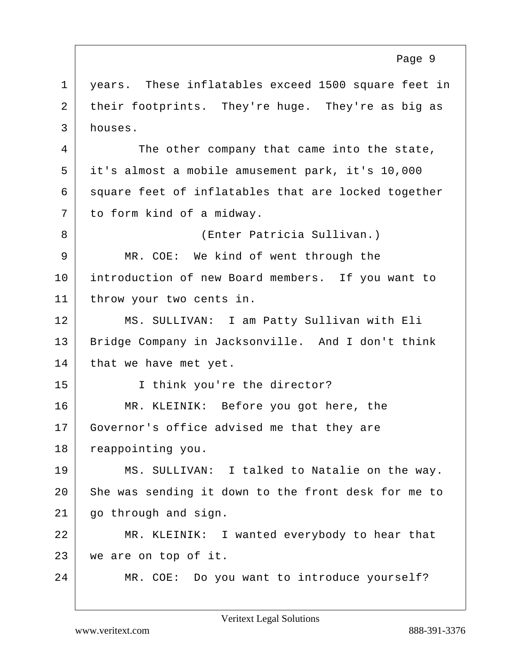1 | years. These inflatables exceed 1500 square feet in 2 their footprints. They're huge. They're as big as 3 houses. 4 | The other company that came into the state, 5 it's almost a mobile amusement park, it's 10,000  $6$  square feet of inflatables that are locked together 7 to form kind of a midway. 8 (Enter Patricia Sullivan.) 9 MR. COE: We kind of went through the 10 introduction of new Board members. If you want to 11 throw your two cents in. 12 MS. SULLIVAN: I am Patty Sullivan with Eli 13 | Bridge Company in Jacksonville. And I don't think  $14$  that we have met yet. 15 | I think you're the director? 16 MR. KLEINIK: Before you got here, the 17 Governor's office advised me that they are 18 reappointing you. 19 MS. SULLIVAN: I talked to Natalie on the way. 20 She was sending it down to the front desk for me to 21 | go through and sign. 22 MR. KLEINIK: I wanted everybody to hear that 23 we are on top of it. 24 MR. COE: Do you want to introduce yourself? Page 9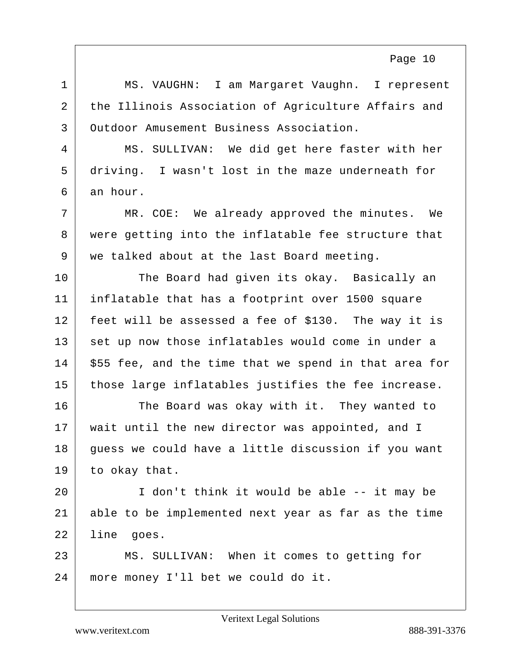1 | MS. VAUGHN: I am Margaret Vaughn. I represent 2 the Illinois Association of Agriculture Affairs and 3 Outdoor Amusement Business Association. 4 MS. SULLIVAN: We did get here faster with her 5 driving. I wasn't lost in the maze underneath for  $6 \mid$  an hour. 7 | MR. COE: We already approved the minutes. We 8 were getting into the inflatable fee structure that 9 we talked about at the last Board meeting. 10 The Board had given its okay. Basically an 11 inflatable that has a footprint over 1500 square 12 feet will be assessed a fee of \$130. The way it is 13 set up now those inflatables would come in under a  $14$  \$55 fee, and the time that we spend in that area for 15 those large inflatables justifies the fee increase. 16 The Board was okay with it. They wanted to 17 | wait until the new director was appointed, and I 18 guess we could have a little discussion if you want  $19$  to okay that. 20 I don't think it would be able -- it may be 21 able to be implemented next year as far as the time 22 line goes. 23 MS. SULLIVAN: When it comes to getting for 24 more money I'll bet we could do it.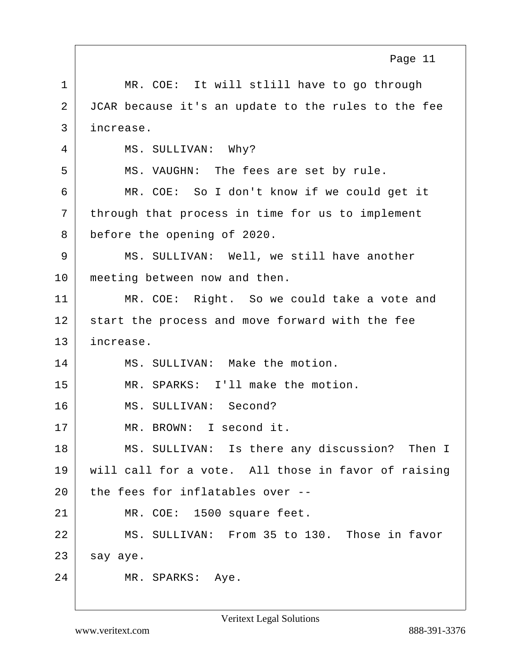|             | Page 11                                             |
|-------------|-----------------------------------------------------|
| $\mathbf 1$ | MR. COE: It will stlill have to go through          |
| 2           | JCAR because it's an update to the rules to the fee |
| 3           | increase.                                           |
| 4           | MS. SULLIVAN: Why?                                  |
| 5           | MS. VAUGHN: The fees are set by rule.               |
| 6           | MR. COE: So I don't know if we could get it         |
| 7           | through that process in time for us to implement    |
| 8           | before the opening of 2020.                         |
| 9           | MS. SULLIVAN: Well, we still have another           |
| 10          | meeting between now and then.                       |
| 11          | MR. COE: Right. So we could take a vote and         |
| 12          | start the process and move forward with the fee     |
| 13          | increase.                                           |
| 14          | MS. SULLIVAN: Make the motion.                      |
| 15          | MR. SPARKS: I'll make the motion.                   |
| 16          | MS. SULLIVAN: Second?                               |
| 17          | MR. BROWN: I second it.                             |
| 18          | MS. SULLIVAN: Is there any discussion? Then I       |
| 19          | will call for a vote. All those in favor of raising |
| 20          | the fees for inflatables over --                    |
| 21          | MR. COE: 1500 square feet.                          |
| 22          | MS. SULLIVAN: From 35 to 130. Those in favor        |
| 23          | say aye.                                            |
| 24          | MR. SPARKS: Aye.                                    |

Г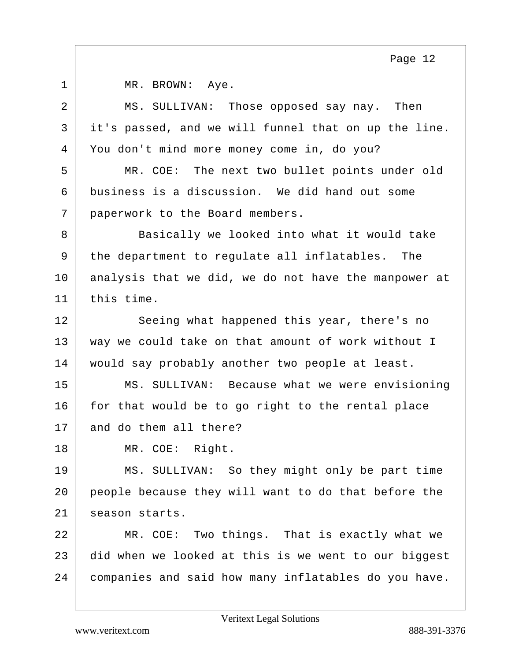| $\mathbf 1$    | MR. BROWN: Aye.                                      |
|----------------|------------------------------------------------------|
| $\overline{2}$ | MS. SULLIVAN: Those opposed say nay. Then            |
| 3              | it's passed, and we will funnel that on up the line. |
| 4              | You don't mind more money come in, do you?           |
| 5              | MR. COE: The next two bullet points under old        |
| 6              | business is a discussion. We did hand out some       |
| 7              | paperwork to the Board members.                      |
| 8              | Basically we looked into what it would take          |
| 9              | the department to regulate all inflatables. The      |
| 10             | analysis that we did, we do not have the manpower at |
| 11             | this time.                                           |
| 12             | Seeing what happened this year, there's no           |
| 13             | way we could take on that amount of work without I   |
| 14             | would say probably another two people at least.      |
| 15             | MS. SULLIVAN: Because what we were envisioning       |
| 16             | for that would be to go right to the rental place    |
| 17             | and do them all there?                               |
| 18             | MR. COE: Right.                                      |
| 19             | MS. SULLIVAN: So they might only be part time        |
| 20             | people because they will want to do that before the  |
| 21             | season starts.                                       |
| 22             | MR. COE: Two things. That is exactly what we         |
| 23             | did when we looked at this is we went to our biggest |
| 24             | companies and said how many inflatables do you have. |

Veritext Legal Solutions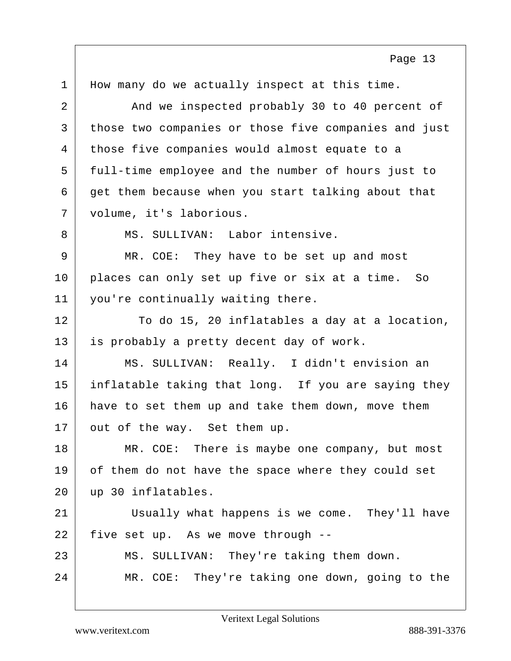1 | How many do we actually inspect at this time. 2 And we inspected probably 30 to 40 percent of 3 those two companies or those five companies and just 4 those five companies would almost equate to a 5 full-time employee and the number of hours just to  $6 \mid$  get them because when you start talking about that 7 volume, it's laborious. 8 MS. SULLIVAN: Labor intensive. 9 MR. COE: They have to be set up and most 10 places can only set up five or six at a time. So 11 you're continually waiting there. 12 To do 15, 20 inflatables a day at a location, 13 is probably a pretty decent day of work. 14 MS. SULLIVAN: Really. I didn't envision an 15 inflatable taking that long. If you are saying they 16 have to set them up and take them down, move them 17 out of the way. Set them up. 18 MR. COE: There is maybe one company, but most 19 of them do not have the space where they could set 20 up 30 inflatables. 21 Usually what happens is we come. They'll have 22 five set up. As we move through --23 MS. SULLIVAN: They're taking them down. 24 MR. COE: They're taking one down, going to the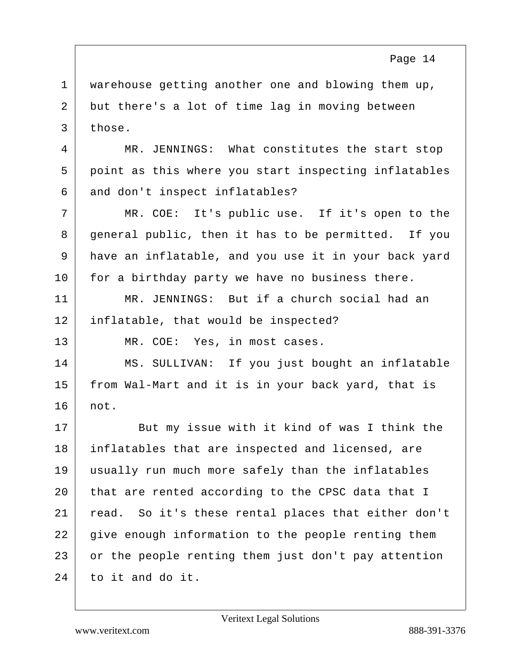1 | warehouse getting another one and blowing them up, 2 but there's a lot of time lag in moving between  $3$  those.

4 MR. JENNINGS: What constitutes the start stop 5 point as this where you start inspecting inflatables 6 and don't inspect inflatables?

7 MR. COE: It's public use. If it's open to the 8 general public, then it has to be permitted. If you 9 have an inflatable, and you use it in your back yard 10 for a birthday party we have no business there.

11 MR. JENNINGS: But if a church social had an 12 inflatable, that would be inspected?

13 MR. COE: Yes, in most cases.

14 MS. SULLIVAN: If you just bought an inflatable 15 from Wal-Mart and it is in your back yard, that is 16 not.

17 But my issue with it kind of was I think the 18 inflatables that are inspected and licensed, are 19 usually run much more safely than the inflatables 20 that are rented according to the CPSC data that I 21 read. So it's these rental places that either don't  $22$  give enough information to the people renting them 23 or the people renting them just don't pay attention  $24$  to it and do it.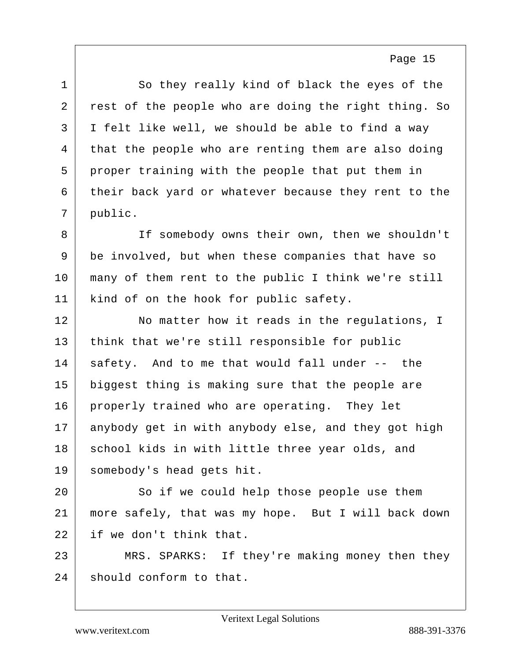1 So they really kind of black the eyes of the 2 rest of the people who are doing the right thing. So 3 I felt like well, we should be able to find a way 4 that the people who are renting them are also doing 5 proper training with the people that put them in 6 their back yard or whatever because they rent to the 7 public. 8 If somebody owns their own, then we shouldn't 9 be involved, but when these companies that have so 10 many of them rent to the public I think we're still 11 | kind of on the hook for public safety. 12 No matter how it reads in the regulations, I 13 think that we're still responsible for public 14 safety. And to me that would fall under -- the 15 biggest thing is making sure that the people are 16 properly trained who are operating. They let 17 anybody get in with anybody else, and they got high 18 school kids in with little three year olds, and 19 somebody's head gets hit. 20 So if we could help those people use them 21 more safely, that was my hope. But I will back down

22 if we don't think that.

23 MRS. SPARKS: If they're making money then they  $24$  should conform to that.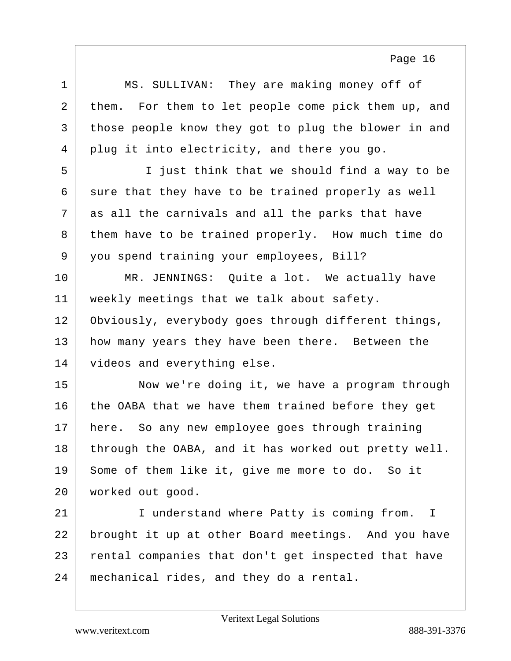| $\mathbf 1$ | MS. SULLIVAN: They are making money off of           |
|-------------|------------------------------------------------------|
| 2           | them. For them to let people come pick them up, and  |
| 3           | those people know they got to plug the blower in and |
| 4           | plug it into electricity, and there you go.          |
| 5           | I just think that we should find a way to be         |
| 6           | sure that they have to be trained properly as well   |
| 7           | as all the carnivals and all the parks that have     |
| 8           | them have to be trained properly. How much time do   |
| 9           | you spend training your employees, Bill?             |
| 10          | MR. JENNINGS: Quite a lot. We actually have          |
| 11          | weekly meetings that we talk about safety.           |
| 12          | Obviously, everybody goes through different things,  |
| 13          | how many years they have been there. Between the     |
| 14          | videos and everything else.                          |
| 15          | Now we're doing it, we have a program through        |
| 16          | the OABA that we have them trained before they get   |
| 17          | here. So any new employee goes through training      |
| 18          | through the OABA, and it has worked out pretty well. |
| 19          | Some of them like it, give me more to do. So it      |
| 20          | worked out good.                                     |
| 21          | I understand where Patty is coming from. I           |
| 22          | brought it up at other Board meetings. And you have  |
| 23          | rental companies that don't get inspected that have  |
| 24          | mechanical rides, and they do a rental.              |
|             |                                                      |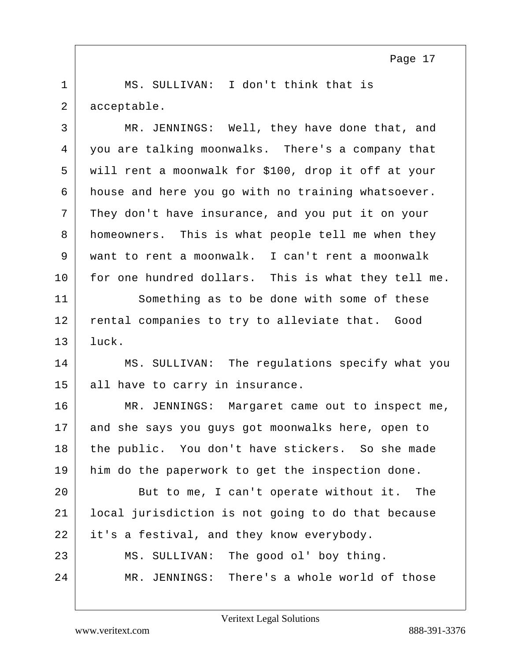1 | MS. SULLIVAN: I don't think that is 2 acceptable.

| $\mathsf{3}$   | MR. JENNINGS: Well, they have done that, and        |
|----------------|-----------------------------------------------------|
| $\overline{4}$ | you are talking moonwalks. There's a company that   |
| 5              | will rent a moonwalk for \$100, drop it off at your |
| 6              | house and here you go with no training whatsoever.  |
| 7              | They don't have insurance, and you put it on your   |
| 8              | homeowners. This is what people tell me when they   |
| 9              | want to rent a moonwalk. I can't rent a moonwalk    |
| 10             | for one hundred dollars. This is what they tell me. |
| 11             | Something as to be done with some of these          |
| 12             | rental companies to try to alleviate that. Good     |
| 13             | luck.                                               |
| 14             | MS. SULLIVAN: The regulations specify what you      |
| 15             | all have to carry in insurance.                     |
| 16             | MR. JENNINGS: Margaret came out to inspect me,      |
| 17             | and she says you guys got moonwalks here, open to   |
| 18             | the public. You don't have stickers. So she made    |
| 19             | him do the paperwork to get the inspection done.    |
| 20             | But to me, I can't operate without it. The          |
| 21             | local jurisdiction is not going to do that because  |
| 22             | it's a festival, and they know everybody.           |
| 23             | The good ol' boy thing.<br>MS. SULLIVAN:            |
| 24             | MR. JENNINGS: There's a whole world of those        |
|                |                                                     |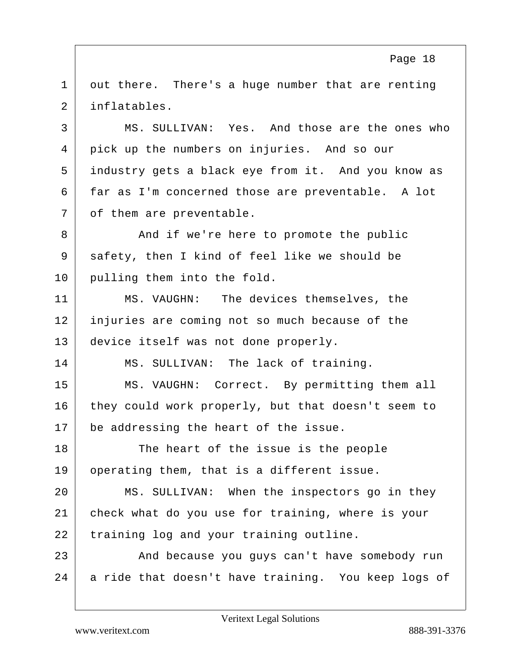1 out there. There's a huge number that are renting 2 inflatables.

3 MS. SULLIVAN: Yes. And those are the ones who 4 pick up the numbers on injuries. And so our 5 industry gets a black eye from it. And you know as 6 far as I'm concerned those are preventable. A lot 7 | of them are preventable.

8 And if we're here to promote the public 9 safety, then I kind of feel like we should be 10 pulling them into the fold.

11 MS. VAUGHN: The devices themselves, the 12 injuries are coming not so much because of the 13 device itself was not done properly.

14 MS. SULLIVAN: The lack of training.

15 MS. VAUGHN: Correct. By permitting them all 16 they could work properly, but that doesn't seem to 17 be addressing the heart of the issue.

18 The heart of the issue is the people 19 operating them, that is a different issue.

20 MS. SULLIVAN: When the inspectors go in they 21 check what do you use for training, where is your 22 training log and your training outline.

23 And because you quys can't have somebody run 24 a ride that doesn't have training. You keep logs of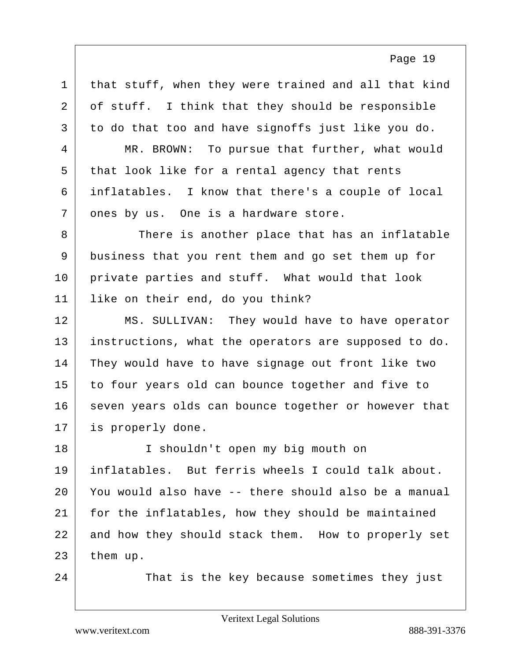1 that stuff, when they were trained and all that kind  $2$  of stuff. I think that they should be responsible 3 to do that too and have signoffs just like you do. 4 MR. BROWN: To pursue that further, what would 5 that look like for a rental agency that rents 6 inflatables. I know that there's a couple of local 7 ones by us. One is a hardware store. 8 There is another place that has an inflatable 9 business that you rent them and go set them up for 10 private parties and stuff. What would that look 11 | like on their end, do you think? 12 MS. SULLIVAN: They would have to have operator 13 instructions, what the operators are supposed to do. 14 They would have to have signage out front like two 15 to four years old can bounce together and five to 16 seven years olds can bounce together or however that 17 is properly done. 18 I shouldn't open my big mouth on 19 inflatables. But ferris wheels I could talk about. 20 You would also have -- there should also be a manual 21 | for the inflatables, how they should be maintained 22 and how they should stack them. How to properly set  $23$  them up. 24 That is the key because sometimes they just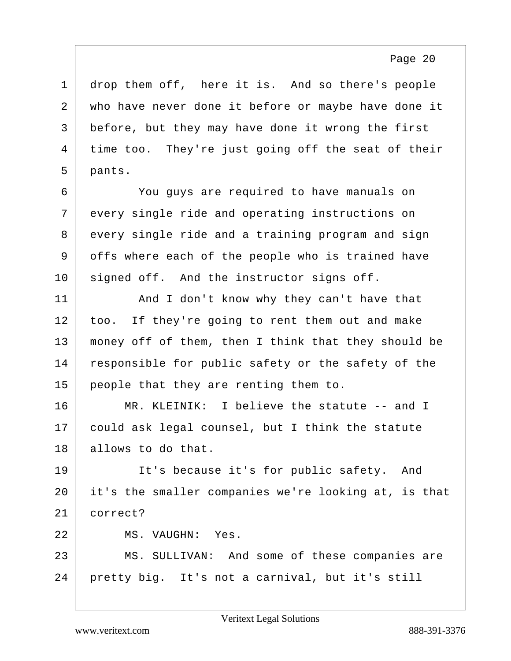1 drop them off, here it is. And so there's people 2 who have never done it before or maybe have done it 3 before, but they may have done it wrong the first 4 time too. They're just going off the seat of their 5 pants.

6 You guys are required to have manuals on 7 every single ride and operating instructions on 8 every single ride and a training program and sign 9 offs where each of the people who is trained have 10 signed off. And the instructor signs off.

11 And I don't know why they can't have that 12 too. If they're going to rent them out and make 13 money off of them, then I think that they should be 14 responsible for public safety or the safety of the 15 people that they are renting them to.

16 MR. KLEINIK: I believe the statute -- and I 17 could ask legal counsel, but I think the statute 18 allows to do that.

19 It's because it's for public safety. And 20 it's the smaller companies we're looking at, is that 21 correct?

22 MS. VAUGHN: Yes.

23 MS. SULLIVAN: And some of these companies are 24 pretty big. It's not a carnival, but it's still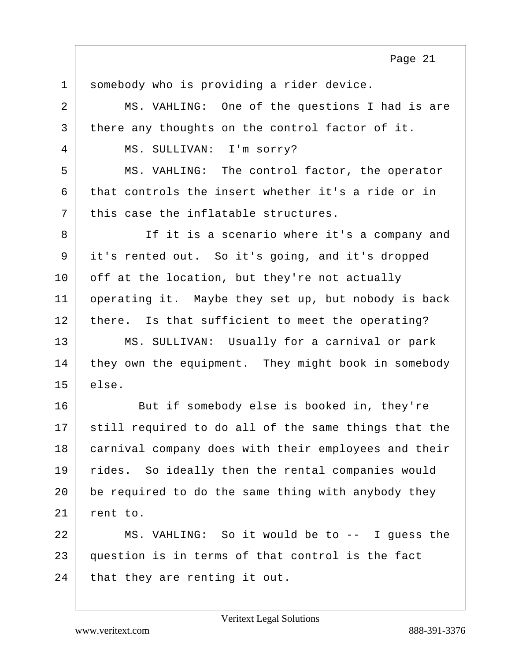1 somebody who is providing a rider device. 2 MS. VAHLING: One of the questions I had is are 3 there any thoughts on the control factor of it. 4 MS. SULLIVAN: I'm sorry? 5 MS. VAHLING: The control factor, the operator  $6$  that controls the insert whether it's a ride or in  $7$  this case the inflatable structures. 8 If it is a scenario where it's a company and 9 it's rented out. So it's going, and it's dropped 10 off at the location, but they're not actually 11 operating it. Maybe they set up, but nobody is back 12 | there. Is that sufficient to meet the operating? 13 | MS. SULLIVAN: Usually for a carnival or park 14 they own the equipment. They might book in somebody  $15$  else. 16 But if somebody else is booked in, they're 17 still required to do all of the same things that the 18 carnival company does with their employees and their 19 | rides. So ideally then the rental companies would  $20$  be required to do the same thing with anybody they 21 rent to. 22 MS. VAHLING: So it would be to -- I guess the 23 question is in terms of that control is the fact  $24$  that they are renting it out.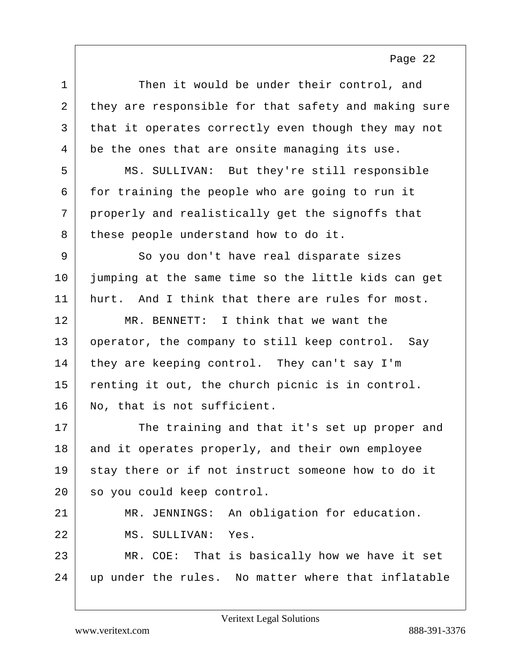| $\mathbf 1$ | Then it would be under their control, and            |
|-------------|------------------------------------------------------|
| 2           | they are responsible for that safety and making sure |
| 3           | that it operates correctly even though they may not  |
| 4           | be the ones that are onsite managing its use.        |
| 5           | MS. SULLIVAN: But they're still responsible          |
| 6           | for training the people who are going to run it      |
| 7           | properly and realistically get the signoffs that     |
| 8           | these people understand how to do it.                |
| 9           | So you don't have real disparate sizes               |
| 10          | jumping at the same time so the little kids can get  |
| 11          | hurt. And I think that there are rules for most.     |
| 12          | MR. BENNETT: I think that we want the                |
| 13          | operator, the company to still keep control. Say     |
| 14          | they are keeping control. They can't say I'm         |
| 15          | renting it out, the church picnic is in control.     |
| 16          | No, that is not sufficient.                          |
| 17          | The training and that it's set up proper and         |
| 18          | and it operates properly, and their own employee     |
| 19          | stay there or if not instruct someone how to do it   |
| 20          | so you could keep control.                           |
| 21          | JENNINGS: An obligation for education.<br>MR.        |
| 22          | MS. SULLIVAN: Yes.                                   |
| 23          | MR. COE: That is basically how we have it set        |
| 24          | up under the rules. No matter where that inflatable  |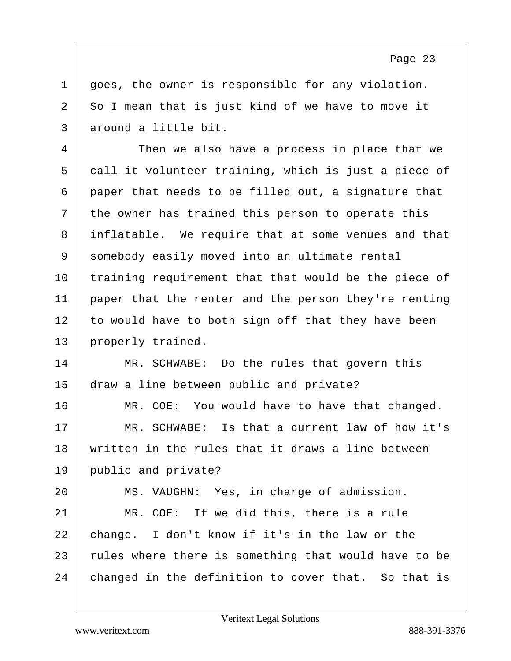$1$  qoes, the owner is responsible for any violation.  $2$  So I mean that is just kind of we have to move it 3 around a little bit.

4 Then we also have a process in place that we 5 call it volunteer training, which is just a piece of  $6$  paper that needs to be filled out, a signature that 7 the owner has trained this person to operate this 8 inflatable. We require that at some venues and that 9 somebody easily moved into an ultimate rental 10 training requirement that that would be the piece of 11 paper that the renter and the person they're renting 12 to would have to both sign off that they have been 13 properly trained.

14 MR. SCHWABE: Do the rules that govern this 15 draw a line between public and private?

16 MR. COE: You would have to have that changed. 17 MR. SCHWABE: Is that a current law of how it's 18 written in the rules that it draws a line between 19 public and private?

20 MS. VAUGHN: Yes, in charge of admission. 21 MR. COE: If we did this, there is a rule 22 change. I don't know if it's in the law or the 23 rules where there is something that would have to be 24 changed in the definition to cover that. So that is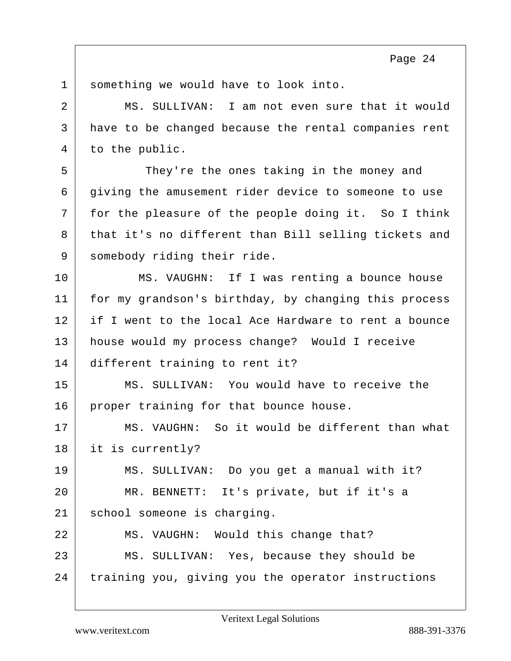1 something we would have to look into. 2 MS. SULLIVAN: I am not even sure that it would 3 have to be changed because the rental companies rent 4 to the public. 5 They're the ones taking in the money and 6 giving the amusement rider device to someone to use 7 for the pleasure of the people doing it. So I think 8 that it's no different than Bill selling tickets and 9 somebody riding their ride. 10 MS. VAUGHN: If I was renting a bounce house 11 for my grandson's birthday, by changing this process 12 if I went to the local Ace Hardware to rent a bounce 13 house would my process change? Would I receive 14 different training to rent it? 15 MS. SULLIVAN: You would have to receive the 16 proper training for that bounce house. 17 | MS. VAUGHN: So it would be different than what 18 it is currently? 19 MS. SULLIVAN: Do you get a manual with it? 20 MR. BENNETT: It's private, but if it's a 21 | school someone is charging. 22 MS. VAUGHN: Would this change that? 23 MS. SULLIVAN: Yes, because they should be 24 training you, giving you the operator instructions

Veritext Legal Solutions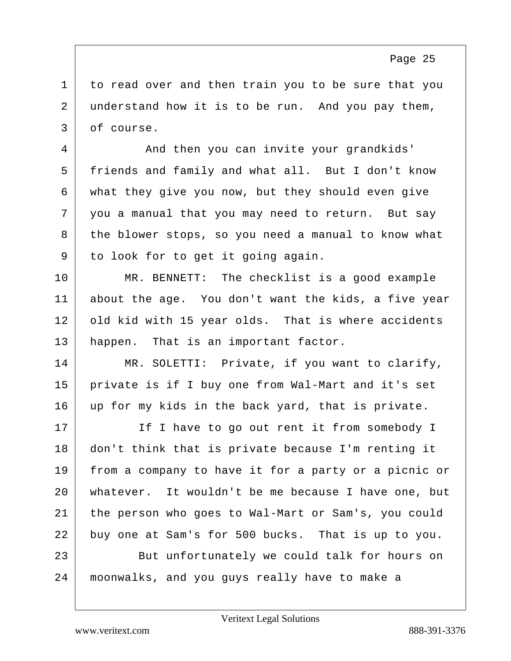1 to read over and then train you to be sure that you 2 understand how it is to be run. And you pay them, 3 of course.

4 And then you can invite your grandkids' 5 friends and family and what all. But I don't know 6 what they give you now, but they should even give 7 you a manual that you may need to return. But say 8 the blower stops, so you need a manual to know what 9 to look for to get it going again.

10 MR. BENNETT: The checklist is a good example 11 about the age. You don't want the kids, a five year 12 old kid with 15 year olds. That is where accidents 13 happen. That is an important factor.

14 MR. SOLETTI: Private, if you want to clarify, 15 private is if I buy one from Wal-Mart and it's set 16 up for my kids in the back yard, that is private.

17 If I have to go out rent it from somebody I don't think that is private because I'm renting it from a company to have it for a party or a picnic or whatever. It wouldn't be me because I have one, but the person who goes to Wal-Mart or Sam's, you could buy one at Sam's for 500 bucks. That is up to you. 23 But unfortunately we could talk for hours on moonwalks, and you guys really have to make a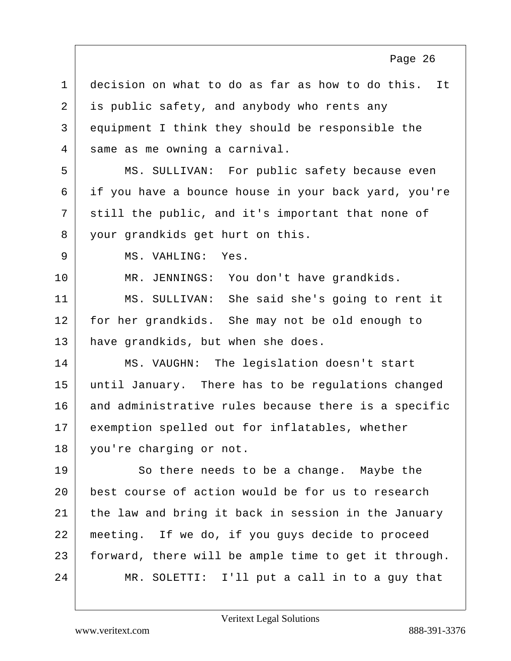1 decision on what to do as far as how to do this. It 2 is public safety, and anybody who rents any 3 equipment I think they should be responsible the 4 same as me owning a carnival. 5 MS. SULLIVAN: For public safety because even 6 if you have a bounce house in your back yard, you're 7 still the public, and it's important that none of 8 vour grandkids get hurt on this. 9 MS. VAHLING: Yes. 10 | MR. JENNINGS: You don't have grandkids. 11 MS. SULLIVAN: She said she's going to rent it 12 for her grandkids. She may not be old enough to 13 have grandkids, but when she does. 14 MS. VAUGHN: The legislation doesn't start 15 until January. There has to be regulations changed 16 and administrative rules because there is a specific 17 exemption spelled out for inflatables, whether 18 you're charging or not. 19 So there needs to be a change. Maybe the 20 best course of action would be for us to research 21 | the law and bring it back in session in the January 22 meeting. If we do, if you guys decide to proceed 23 forward, there will be ample time to get it through. 24 MR. SOLETTI: I'll put a call in to a guy that Page 26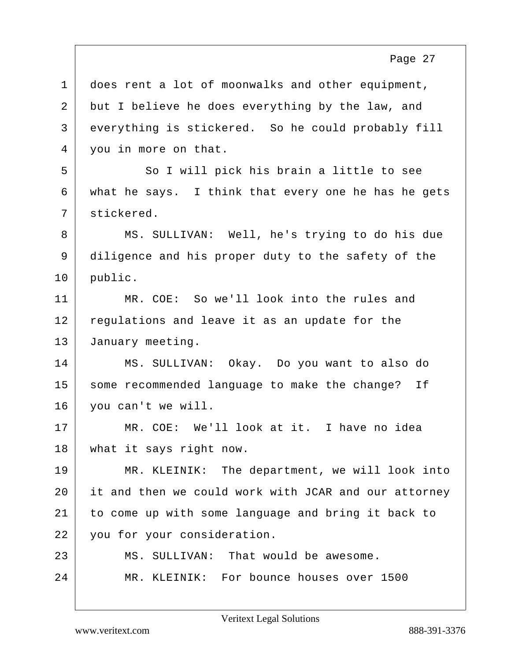| $\mathbf{1}$   | does rent a lot of moonwalks and other equipment,    |
|----------------|------------------------------------------------------|
| $\overline{a}$ | but I believe he does everything by the law, and     |
| 3              | everything is stickered. So he could probably fill   |
| $\overline{4}$ | you in more on that.                                 |
| 5              | So I will pick his brain a little to see             |
| 6              | what he says. I think that every one he has he gets  |
| 7              | stickered.                                           |
| 8              | MS. SULLIVAN: Well, he's trying to do his due        |
| 9              | diligence and his proper duty to the safety of the   |
| 10             | public.                                              |
| 11             | MR. COE: So we'll look into the rules and            |
| 12             | regulations and leave it as an update for the        |
| 13             | January meeting.                                     |
| 14             | MS. SULLIVAN: Okay. Do you want to also do           |
| 15             | some recommended language to make the change? If     |
| 16             | you can't we will.                                   |
| 17             | MR. COE: We'll look at it. I have no idea            |
| 18             | what it says right now.                              |
| 19             | MR. KLEINIK: The department, we will look into       |
| 20             | it and then we could work with JCAR and our attorney |
| 21             | to come up with some language and bring it back to   |
| 22             | you for your consideration.                          |
| 23             | MS. SULLIVAN: That would be awesome.                 |
| 24             | MR. KLEINIK: For bounce houses over 1500             |
|                |                                                      |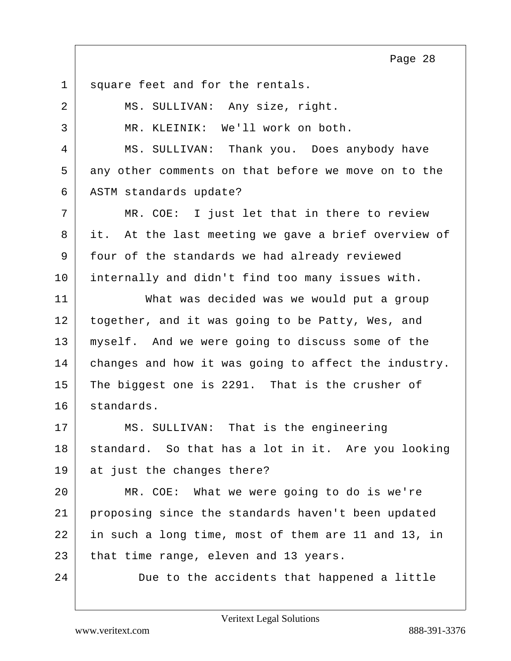1 square feet and for the rentals. 2 | MS. SULLIVAN: Any size, right. 3 MR. KLEINIK: We'll work on both. 4 MS. SULLIVAN: Thank you. Does anybody have 5 any other comments on that before we move on to the 6 | ASTM standards update? 7 MR. COE: I just let that in there to review 8 it. At the last meeting we gave a brief overview of 9 four of the standards we had already reviewed 10 internally and didn't find too many issues with. 11 What was decided was we would put a group 12 together, and it was going to be Patty, Wes, and 13 | myself. And we were going to discuss some of the 14 changes and how it was going to affect the industry. 15 The biggest one is 2291. That is the crusher of 16 standards. 17 MS. SULLIVAN: That is the engineering 18 | standard. So that has a lot in it. Are you looking 19 at just the changes there? 20 MR. COE: What we were going to do is we're 21 proposing since the standards haven't been updated 22 in such a long time, most of them are 11 and 13, in  $23$  that time range, eleven and 13 years. 24 Due to the accidents that happened a little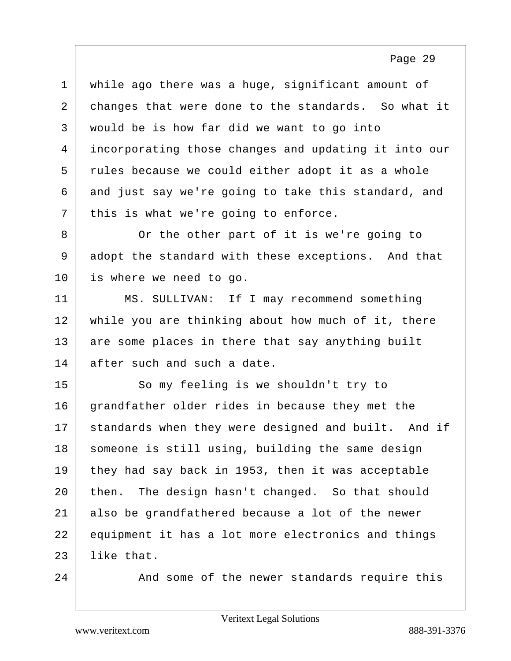1 while ago there was a huge, significant amount of 2 changes that were done to the standards. So what it 3 would be is how far did we want to go into 4 incorporating those changes and updating it into our 5 rules because we could either adopt it as a whole  $6$  and just say we're going to take this standard, and  $7$  this is what we're going to enforce.

8 Or the other part of it is we're going to 9 adopt the standard with these exceptions. And that 10 is where we need to go.

11 MS. SULLIVAN: If I may recommend something 12 while you are thinking about how much of it, there 13 are some places in there that say anything built 14 after such and such a date.

15 So my feeling is we shouldn't try to 16 grandfather older rides in because they met the 17 standards when they were designed and built. And if 18 someone is still using, building the same design 19 they had say back in 1953, then it was acceptable 20 then. The design hasn't changed. So that should 21 also be grandfathered because a lot of the newer 22 equipment it has a lot more electronics and things  $23$  like that.

24 And some of the newer standards require this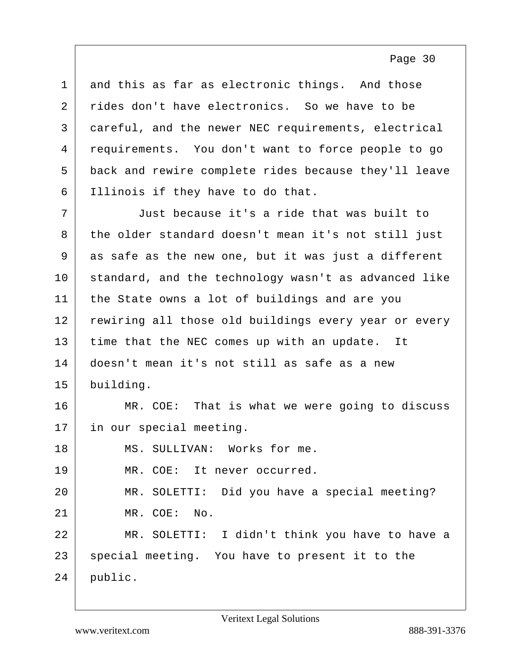and this as far as electronic things. And those 2 rides don't have electronics. So we have to be careful, and the newer NEC requirements, electrical requirements. You don't want to force people to go back and rewire complete rides because they'll leave Illinois if they have to do that.

7 Just because it's a ride that was built to 8 the older standard doesn't mean it's not still just 9 as safe as the new one, but it was just a different 10 standard, and the technology wasn't as advanced like 11 | the State owns a lot of buildings and are you 12 rewiring all those old buildings every year or every 13 time that the NEC comes up with an update. It 14 doesn't mean it's not still as safe as a new 15 building.

16 MR. COE: That is what we were going to discuss 17 in our special meeting.

18 MS. SULLIVAN: Works for me. 19 MR. COE: It never occurred. 20 MR. SOLETTI: Did you have a special meeting? 21 MR. COE: No. 22 MR. SOLETTI: I didn't think you have to have a 23 special meeting. You have to present it to the 24 public.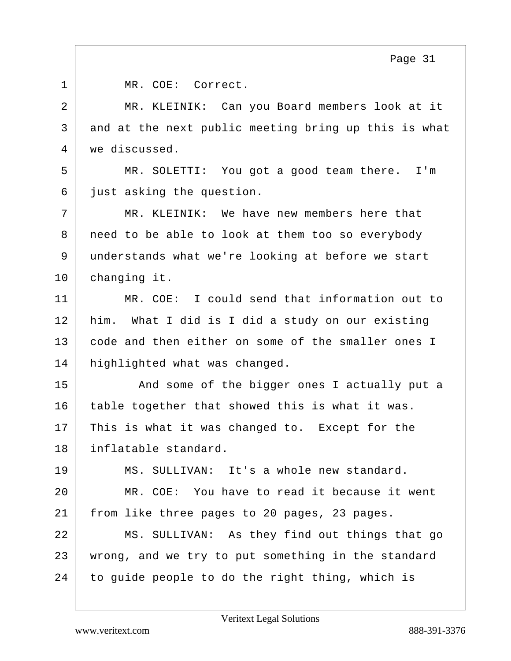1 MR. COE: Correct. 2 MR. KLEINIK: Can you Board members look at it  $3$  and at the next public meeting bring up this is what 4 we discussed. 5 MR. SOLETTI: You got a good team there. I'm 6 just asking the question. 7 MR. KLEINIK: We have new members here that 8 need to be able to look at them too so everybody 9 understands what we're looking at before we start 10 changing it. 11 MR. COE: I could send that information out to 12 him. What I did is I did a study on our existing 13 code and then either on some of the smaller ones I 14 highlighted what was changed. 15 And some of the bigger ones I actually put a 16 table together that showed this is what it was. 17 This is what it was changed to. Except for the 18 inflatable standard. 19 MS. SULLIVAN: It's a whole new standard. 20 MR. COE: You have to read it because it went 21 from like three pages to 20 pages, 23 pages. 22 MS. SULLIVAN: As they find out things that go 23 wrong, and we try to put something in the standard 24 to guide people to do the right thing, which is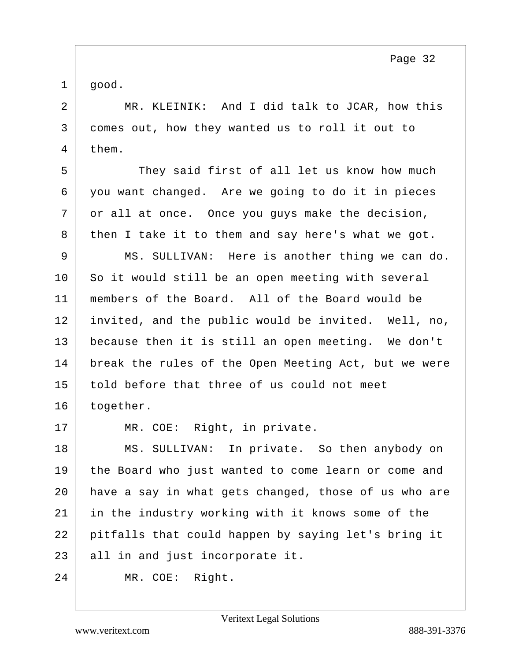$1 |$  good.

2 MR. KLEINIK: And I did talk to JCAR, how this 3 comes out, how they wanted us to roll it out to 4 them.

5 They said first of all let us know how much 6 you want changed. Are we going to do it in pieces 7 or all at once. Once you guys make the decision, 8 then I take it to them and say here's what we got.

9 MS. SULLIVAN: Here is another thing we can do. So it would still be an open meeting with several 11 | members of the Board. All of the Board would be invited, and the public would be invited. Well, no, because then it is still an open meeting. We don't break the rules of the Open Meeting Act, but we were told before that three of us could not meet 16 together.

17 MR. COE: Right, in private.

18 MS. SULLIVAN: In private. So then anybody on the Board who just wanted to come learn or come and have a say in what gets changed, those of us who are in the industry working with it knows some of the pitfalls that could happen by saying let's bring it 23 all in and just incorporate it.

24 MR. COE: Right.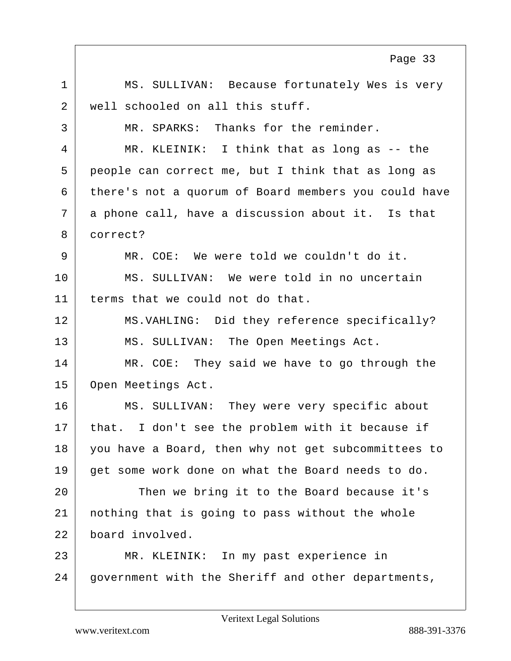1 | MS. SULLIVAN: Because fortunately Wes is very 2 well schooled on all this stuff. 3 MR. SPARKS: Thanks for the reminder. 4 MR. KLEINIK: I think that as long as -- the 5 people can correct me, but I think that as long as 6 there's not a quorum of Board members you could have 7 a phone call, have a discussion about it. Is that 8 correct? 9 MR. COE: We were told we couldn't do it. 10 MS. SULLIVAN: We were told in no uncertain 11 terms that we could not do that. 12 MS.VAHLING: Did they reference specifically? 13 MS. SULLIVAN: The Open Meetings Act. 14 MR. COE: They said we have to go through the 15 Open Meetings Act. 16 MS. SULLIVAN: They were very specific about 17 | that. I don't see the problem with it because if 18 you have a Board, then why not get subcommittees to 19 get some work done on what the Board needs to do. 20 Then we bring it to the Board because it's 21 nothing that is going to pass without the whole 22 board involved. 23 MR. KLEINIK: In my past experience in 24 government with the Sheriff and other departments, Page 33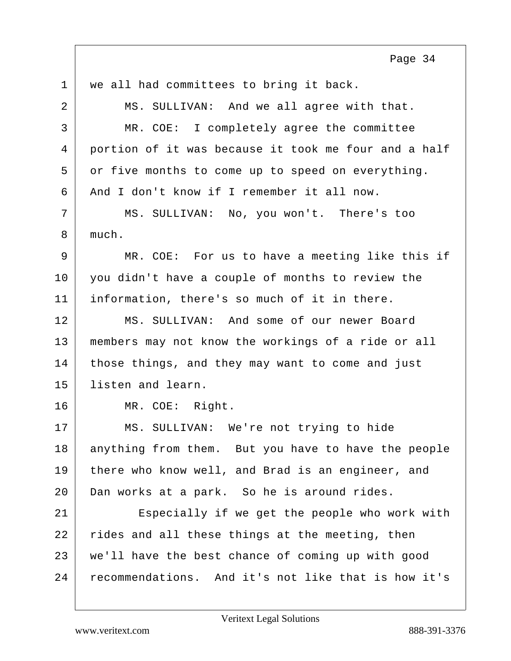1 | we all had committees to bring it back. 2 MS. SULLIVAN: And we all agree with that. 3 MR. COE: I completely agree the committee 4 portion of it was because it took me four and a half 5 or five months to come up to speed on everything. 6 And I don't know if I remember it all now. 7 MS. SULLIVAN: No, you won't. There's too 8 much. 9 MR. COE: For us to have a meeting like this if 10 you didn't have a couple of months to review the 11 information, there's so much of it in there. 12 MS. SULLIVAN: And some of our newer Board 13 members may not know the workings of a ride or all 14 those things, and they may want to come and just 15 listen and learn. 16 MR. COE: Right. 17 MS. SULLIVAN: We're not trying to hide 18 anything from them. But you have to have the people 19 there who know well, and Brad is an engineer, and 20 Dan works at a park. So he is around rides. 21 Especially if we get the people who work with 22 rides and all these things at the meeting, then 23 we'll have the best chance of coming up with good 24 recommendations. And it's not like that is how it's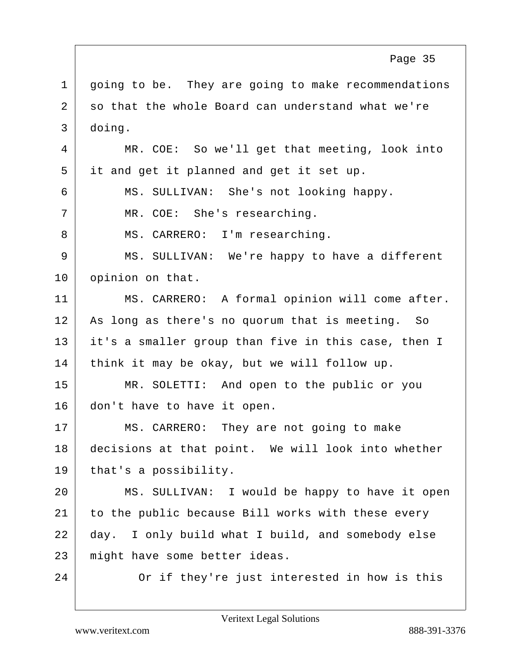1 | going to be. They are going to make recommendations 2 so that the whole Board can understand what we're 3 doing. 4 MR. COE: So we'll get that meeting, look into 5 it and get it planned and get it set up. 6 MS. SULLIVAN: She's not looking happy. 7 | MR. COE: She's researching. 8 | MS. CARRERO: I'm researching. 9 | MS. SULLIVAN: We're happy to have a different 10 opinion on that. 11 MS. CARRERO: A formal opinion will come after. 12 | As long as there's no quorum that is meeting. So 13 it's a smaller group than five in this case, then I 14 | think it may be okay, but we will follow up. 15 MR. SOLETTI: And open to the public or you 16 don't have to have it open. 17 MS. CARRERO: They are not going to make 18 decisions at that point. We will look into whether 19 | that's a possibility. 20 MS. SULLIVAN: I would be happy to have it open 21 to the public because Bill works with these every 22 day. I only build what I build, and somebody else 23 might have some better ideas. 24 Or if they're just interested in how is this Page 35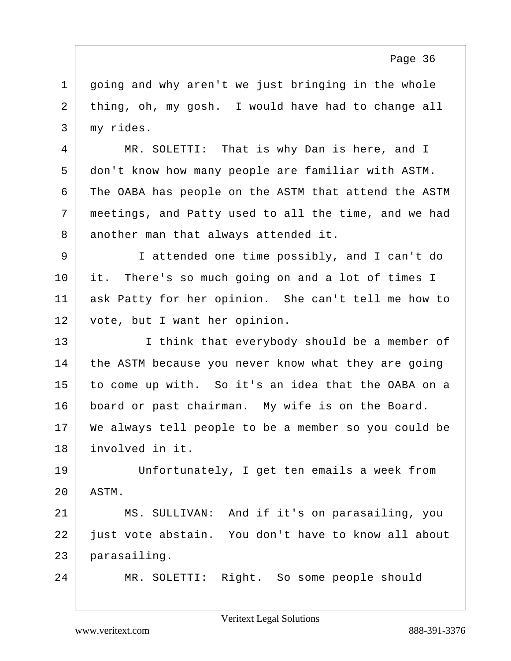1 | going and why aren't we just bringing in the whole 2 thing, oh, my gosh. I would have had to change all 3 my rides.

4 MR. SOLETTI: That is why Dan is here, and I 5 don't know how many people are familiar with ASTM. 6 The OABA has people on the ASTM that attend the ASTM 7 meetings, and Patty used to all the time, and we had 8 another man that always attended it.

9 I attended one time possibly, and I can't do 10 it. There's so much going on and a lot of times I 11 ask Patty for her opinion. She can't tell me how to 12 vote, but I want her opinion.

13 I think that everybody should be a member of 14 the ASTM because you never know what they are going 15 to come up with. So it's an idea that the OABA on a 16 board or past chairman. My wife is on the Board. 17 We always tell people to be a member so you could be 18 involved in it.

19 Unfortunately, I get ten emails a week from 20 ASTM.

21 MS. SULLIVAN: And if it's on parasailing, you 22 just vote abstain. You don't have to know all about 23 parasailing.

24 MR. SOLETTI: Right. So some people should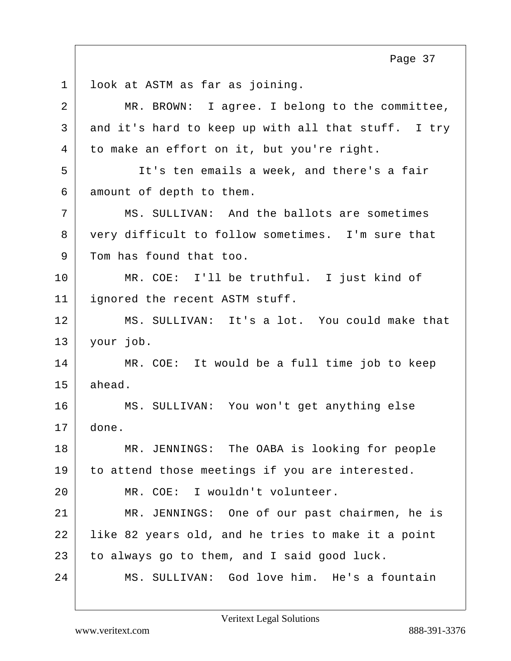1 look at ASTM as far as joining. 2 MR. BROWN: I agree. I belong to the committee, 3 and it's hard to keep up with all that stuff. I try 4 to make an effort on it, but you're right. 5 It's ten emails a week, and there's a fair 6 amount of depth to them. 7 MS. SULLIVAN: And the ballots are sometimes 8 very difficult to follow sometimes. I'm sure that 9 Tom has found that too. 10 MR. COE: I'll be truthful. I just kind of 11 ignored the recent ASTM stuff. 12 MS. SULLIVAN: It's a lot. You could make that 13 your job. 14 MR. COE: It would be a full time job to keep  $15$  ahead. 16 MS. SULLIVAN: You won't get anything else 17 done. 18 MR. JENNINGS: The OABA is looking for people 19 to attend those meetings if you are interested. 20 MR. COE: I wouldn't volunteer. 21 MR. JENNINGS: One of our past chairmen, he is 22 like 82 years old, and he tries to make it a point  $23$  to always go to them, and I said good luck. 24 MS. SULLIVAN: God love him. He's a fountain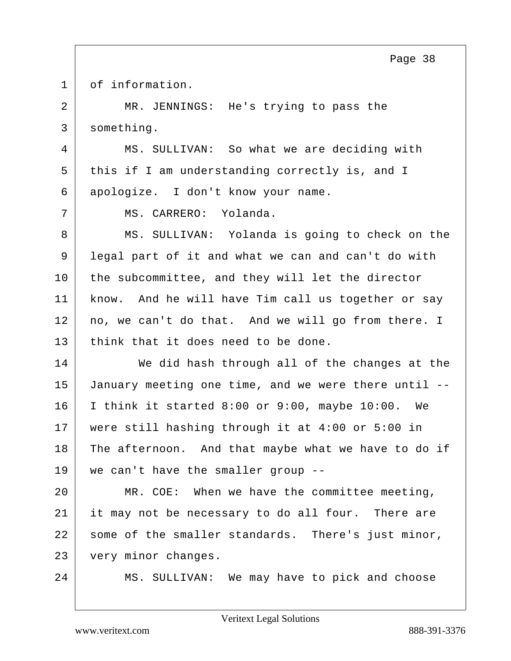1 of information.

2 MR. JENNINGS: He's trying to pass the 3 something.

4 MS. SULLIVAN: So what we are deciding with 5 this if I am understanding correctly is, and I 6 apologize. I don't know your name.

7 MS. CARRERO: Yolanda.

8 MS. SULLIVAN: Yolanda is going to check on the 9 legal part of it and what we can and can't do with 10 the subcommittee, and they will let the director 11 | know. And he will have Tim call us together or say 12 no, we can't do that. And we will go from there. I  $13$  think that it does need to be done.

14 We did hash through all of the changes at the January meeting one time, and we were there until -- I think it started 8:00 or 9:00, maybe 10:00. We were still hashing through it at 4:00 or 5:00 in 18 The afternoon. And that maybe what we have to do if we can't have the smaller group --

20 MR. COE: When we have the committee meeting, 21 it may not be necessary to do all four. There are 22 | some of the smaller standards. There's just minor, 23 very minor changes.

24 MS. SULLIVAN: We may have to pick and choose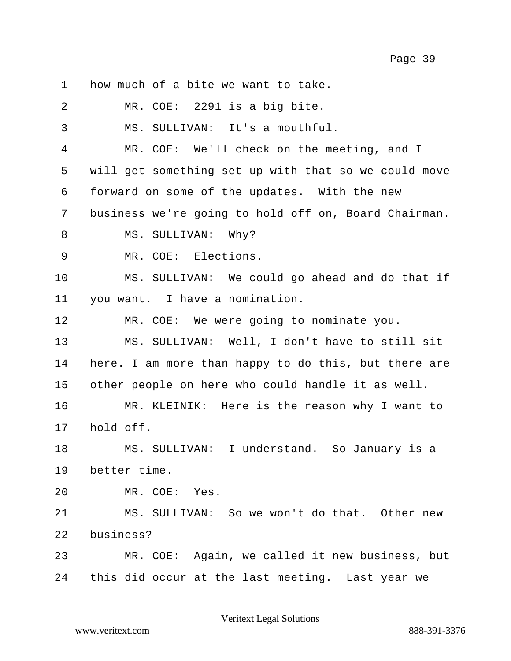1 how much of a bite we want to take. 2 | MR. COE: 2291 is a big bite. 3 MS. SULLIVAN: It's a mouthful. 4 MR. COE: We'll check on the meeting, and I 5 will get something set up with that so we could move 6 forward on some of the updates. With the new 7 business we're going to hold off on, Board Chairman. 8 MS. SULLIVAN: Why? 9 | MR. COE: Elections. 10 MS. SULLIVAN: We could go ahead and do that if 11 | you want. I have a nomination. 12 | MR. COE: We were going to nominate you. 13 MS. SULLIVAN: Well, I don't have to still sit 14 here. I am more than happy to do this, but there are 15 other people on here who could handle it as well. 16 MR. KLEINIK: Here is the reason why I want to 17 hold off. 18 MS. SULLIVAN: I understand. So January is a 19 better time. 20 MR. COE: Yes. 21 MS. SULLIVAN: So we won't do that. Other new 22 business? 23 MR. COE: Again, we called it new business, but 24 this did occur at the last meeting. Last year we Page 39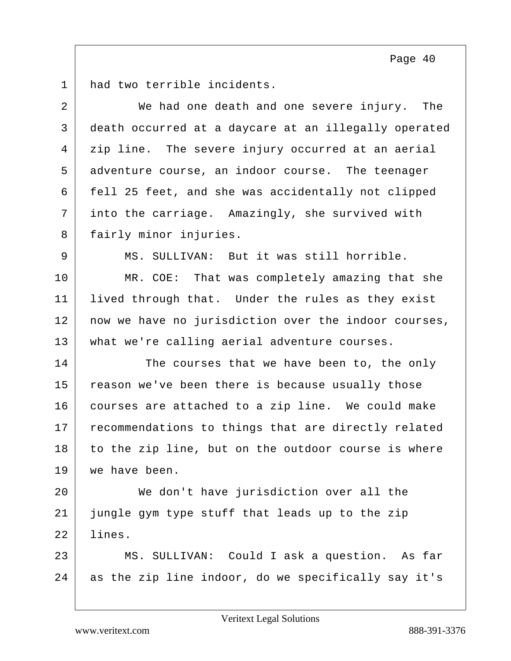1 had two terrible incidents.

| 2  | We had one death and one severe injury. The          |
|----|------------------------------------------------------|
| 3  | death occurred at a daycare at an illegally operated |
| 4  | zip line. The severe injury occurred at an aerial    |
| 5  | adventure course, an indoor course. The teenager     |
| 6  | fell 25 feet, and she was accidentally not clipped   |
| 7  | into the carriage. Amazingly, she survived with      |
| 8  | fairly minor injuries.                               |
| 9  | MS. SULLIVAN: But it was still horrible.             |
| 10 | MR. COE: That was completely amazing that she        |
| 11 | lived through that. Under the rules as they exist    |
| 12 | now we have no jurisdiction over the indoor courses, |
| 13 | what we're calling aerial adventure courses.         |
| 14 | The courses that we have been to, the only           |
| 15 | reason we've been there is because usually those     |
| 16 | courses are attached to a zip line. We could make    |
| 17 | recommendations to things that are directly related  |
| 18 | to the zip line, but on the outdoor course is where  |
| 19 | we have been.                                        |
| 20 | We don't have jurisdiction over all the              |
| 21 | jungle gym type stuff that leads up to the zip       |
| 22 | lines.                                               |
| 23 | MS. SULLIVAN: Could I ask a question. As far         |
| 24 | as the zip line indoor, do we specifically say it's  |
|    |                                                      |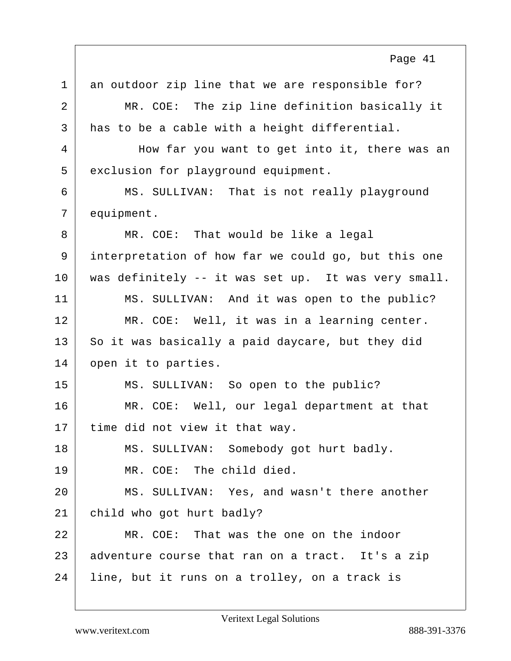1 an outdoor zip line that we are responsible for? 2 MR. COE: The zip line definition basically it 3 has to be a cable with a height differential. 4 How far you want to get into it, there was an 5 exclusion for playground equipment. 6 MS. SULLIVAN: That is not really playground 7 equipment. 8 MR. COE: That would be like a legal 9 interpretation of how far we could go, but this one 10 | was definitely -- it was set up. It was very small. 11 MS. SULLIVAN: And it was open to the public? 12 | MR. COE: Well, it was in a learning center. 13 So it was basically a paid daycare, but they did 14 open it to parties. 15 MS. SULLIVAN: So open to the public? 16 MR. COE: Well, our legal department at that 17 time did not view it that way. 18 | MS. SULLIVAN: Somebody got hurt badly. 19 MR. COE: The child died. 20 MS. SULLIVAN: Yes, and wasn't there another 21 child who got hurt badly? 22 MR. COE: That was the one on the indoor 23 adventure course that ran on a tract. It's a zip 24 | line, but it runs on a trolley, on a track is Page 41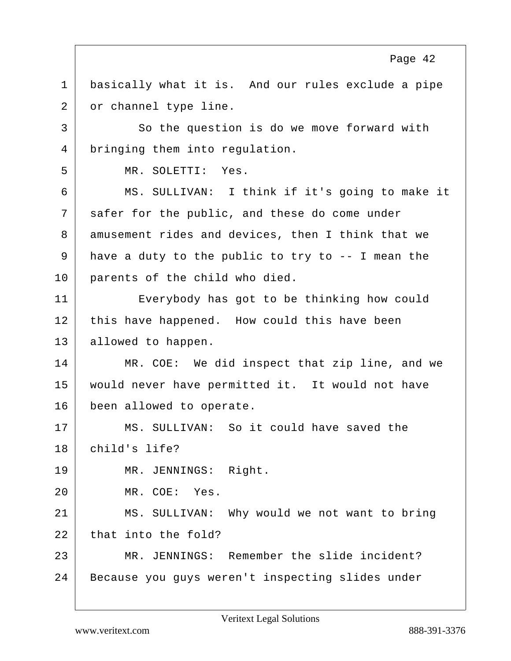1 basically what it is. And our rules exclude a pipe 2 or channel type line. 3 So the question is do we move forward with 4 bringing them into regulation. 5 MR. SOLETTI: Yes. 6 MS. SULLIVAN: I think if it's going to make it 7 safer for the public, and these do come under 8 amusement rides and devices, then I think that we  $9$  have a duty to the public to try to  $-$  I mean the 10 parents of the child who died. 11 Everybody has got to be thinking how could 12 this have happened. How could this have been 13 allowed to happen. 14 MR. COE: We did inspect that zip line, and we 15 would never have permitted it. It would not have 16 been allowed to operate. 17 MS. SULLIVAN: So it could have saved the 18 child's life? 19 MR. JENNINGS: Right. 20 MR. COE: Yes. 21 MS. SULLIVAN: Why would we not want to bring  $22$  that into the fold? 23 MR. JENNINGS: Remember the slide incident? 24 Because you guys weren't inspecting slides under Page 42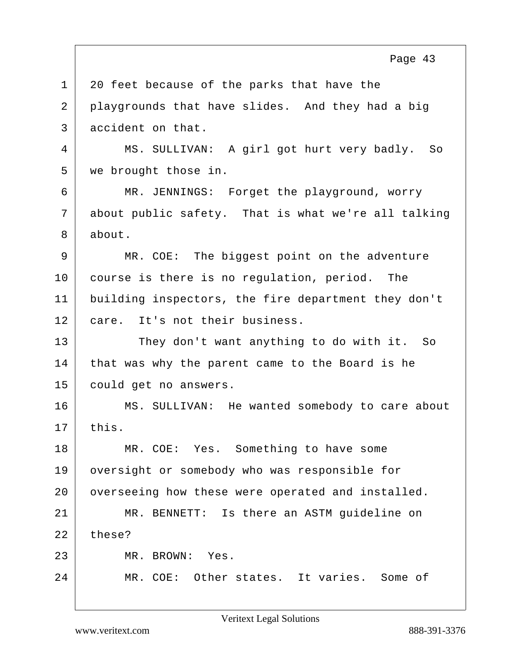1 20 feet because of the parks that have the 2 playgrounds that have slides. And they had a big 3 accident on that. 4 MS. SULLIVAN: A girl got hurt very badly. So 5 we brought those in. 6 MR. JENNINGS: Forget the playground, worry 7 about public safety. That is what we're all talking 8 about. 9 MR. COE: The biggest point on the adventure 10 course is there is no regulation, period. The 11 building inspectors, the fire department they don't 12 care. It's not their business. 13 They don't want anything to do with it. So 14 that was why the parent came to the Board is he 15 could get no answers. 16 MS. SULLIVAN: He wanted somebody to care about  $17$  this. 18 MR. COE: Yes. Something to have some 19 | oversight or somebody who was responsible for 20 overseeing how these were operated and installed. 21 MR. BENNETT: Is there an ASTM guideline on  $22$  these? 23 MR. BROWN: Yes. 24 MR. COE: Other states. It varies. Some of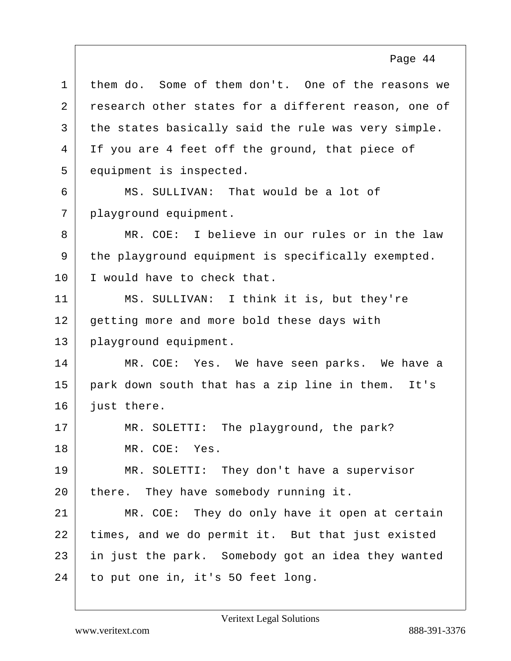1 them do. Some of them don't. One of the reasons we 2 research other states for a different reason, one of 3 the states basically said the rule was very simple. 4 If you are 4 feet off the ground, that piece of 5 equipment is inspected.

6 MS. SULLIVAN: That would be a lot of 7 | playground equipment.

8 MR. COE: I believe in our rules or in the law 9 the playground equipment is specifically exempted. 10 I would have to check that.

11 MS. SULLIVAN: I think it is, but they're 12 getting more and more bold these days with 13 playground equipment.

14 MR. COE: Yes. We have seen parks. We have a 15 park down south that has a zip line in them. It's 16 just there.

17 MR. SOLETTI: The playground, the park? 18 MR. COE: Yes.

19 MR. SOLETTI: They don't have a supervisor 20 there. They have somebody running it.

21 MR. COE: They do only have it open at certain 22 times, and we do permit it. But that just existed 23 in just the park. Somebody got an idea they wanted 24 to put one in, it's 50 feet long.

Page 44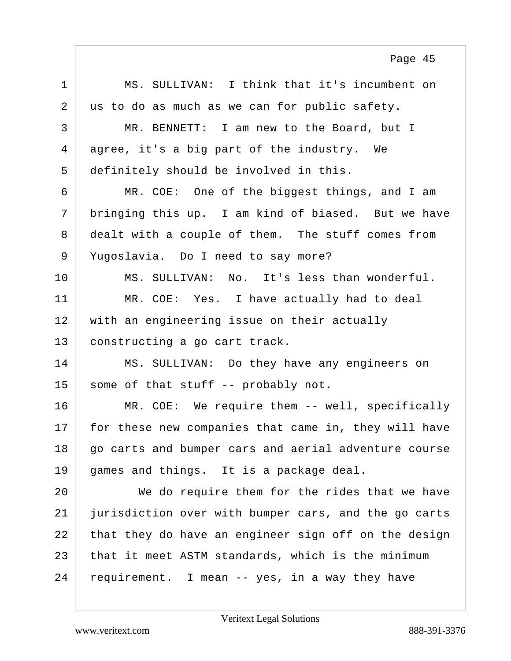1 MS. SULLIVAN: I think that it's incumbent on 2 us to do as much as we can for public safety. 3 MR. BENNETT: I am new to the Board, but I 4 agree, it's a big part of the industry. We 5 definitely should be involved in this. 6 MR. COE: One of the biggest things, and I am 7 | bringing this up. I am kind of biased. But we have 8 dealt with a couple of them. The stuff comes from 9 Yugoslavia. Do I need to say more? 10 MS. SULLIVAN: No. It's less than wonderful. 11 MR. COE: Yes. I have actually had to deal 12 with an engineering issue on their actually 13 constructing a go cart track. 14 MS. SULLIVAN: Do they have any engineers on 15 | some of that stuff -- probably not. 16 MR. COE: We require them -- well, specifically 17 for these new companies that came in, they will have 18 go carts and bumper cars and aerial adventure course 19 games and things. It is a package deal. 20 We do require them for the rides that we have 21 jurisdiction over with bumper cars, and the go carts 22 that they do have an engineer sign off on the design 23 that it meet ASTM standards, which is the minimum  $24$  requirement. I mean -- yes, in a way they have Page 45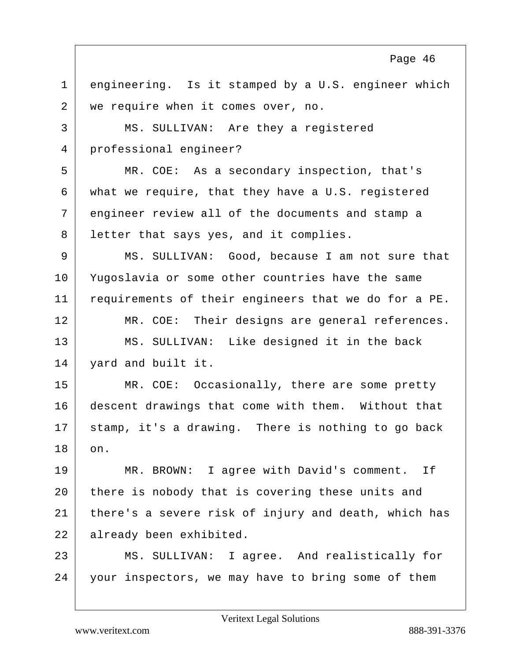1 engineering. Is it stamped by a U.S. engineer which 2 we require when it comes over, no. 3 | MS. SULLIVAN: Are they a registered 4 professional engineer? 5 MR. COE: As a secondary inspection, that's 6 what we require, that they have a U.S. registered 7 engineer review all of the documents and stamp a 8 letter that says yes, and it complies. 9 MS. SULLIVAN: Good, because I am not sure that 10 Yugoslavia or some other countries have the same 11 requirements of their engineers that we do for a PE. 12 | MR. COE: Their designs are general references. 13 MS. SULLIVAN: Like designed it in the back 14 yard and built it. 15 MR. COE: Occasionally, there are some pretty 16 descent drawings that come with them. Without that  $17$  stamp, it's a drawing. There is nothing to go back 18 on. 19 MR. BROWN: I agree with David's comment. If 20 there is nobody that is covering these units and 21 | there's a severe risk of injury and death, which has 22 already been exhibited. 23 MS. SULLIVAN: I agree. And realistically for 24 your inspectors, we may have to bring some of them

Veritext Legal Solutions

Page 46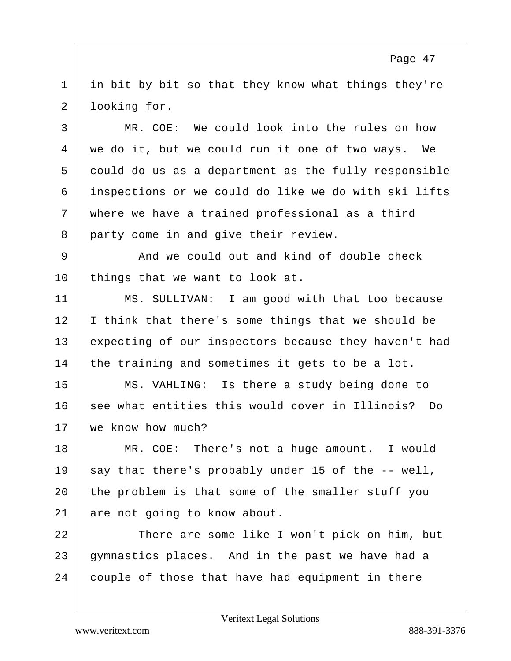1 in bit by bit so that they know what things they're 2 looking for.

3 MR. COE: We could look into the rules on how we do it, but we could run it one of two ways. We could do us as a department as the fully responsible inspections or we could do like we do with ski lifts where we have a trained professional as a third 8 party come in and give their review.

9 And we could out and kind of double check 10 things that we want to look at.

11 MS. SULLIVAN: I am good with that too because 12 | I think that there's some things that we should be 13 expecting of our inspectors because they haven't had 14 the training and sometimes it gets to be a lot.

15 MS. VAHLING: Is there a study being done to 16 see what entities this would cover in Illinois? Do 17 | we know how much?

18 MR. COE: There's not a huge amount. I would  $19$  say that there's probably under 15 of the  $-$ - well, 20 the problem is that some of the smaller stuff you 21 are not going to know about.

22 There are some like I won't pick on him, but 23 gymnastics places. And in the past we have had a 24 couple of those that have had equipment in there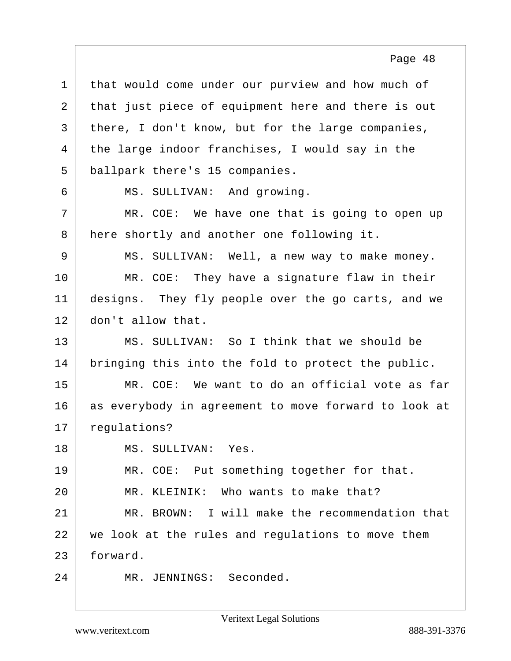| $\mathbf 1$ | that would come under our purview and how much of    |
|-------------|------------------------------------------------------|
| 2           | that just piece of equipment here and there is out   |
| 3           | there, I don't know, but for the large companies,    |
| 4           | the large indoor franchises, I would say in the      |
| 5           | ballpark there's 15 companies.                       |
| 6           | MS. SULLIVAN: And growing.                           |
| 7           | MR. COE: We have one that is going to open up        |
| 8           | here shortly and another one following it.           |
| 9           | MS. SULLIVAN: Well, a new way to make money.         |
| 10          | MR. COE: They have a signature flaw in their         |
| 11          | designs. They fly people over the go carts, and we   |
| 12          | don't allow that.                                    |
| 13          | MS. SULLIVAN: So I think that we should be           |
| 14          | bringing this into the fold to protect the public.   |
| 15          | MR. COE: We want to do an official vote as far       |
| 16          | as everybody in agreement to move forward to look at |
| 17          | regulations?                                         |
| 18          | MS. SULLIVAN: Yes.                                   |
| 19          | MR. COE: Put something together for that.            |
| 20          | MR. KLEINIK: Who wants to make that?                 |
| 21          | MR. BROWN: I will make the recommendation that       |
| 22          | we look at the rules and regulations to move them    |
| 23          | forward.                                             |
| 24          | MR. JENNINGS: Seconded.                              |
|             |                                                      |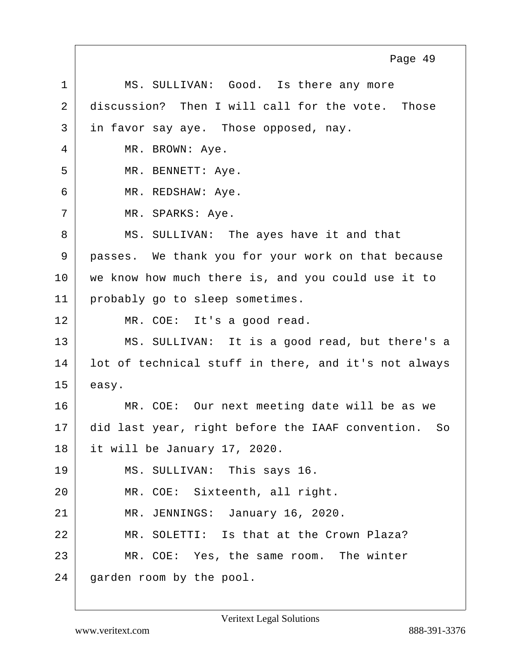1 MS. SULLIVAN: Good. Is there any more 2 discussion? Then I will call for the vote. Those  $3$  in favor say aye. Those opposed, nay. 4 MR. BROWN: Aye. 5 MR. BENNETT: Aye. 6 MR. REDSHAW: Aye. 7 | MR. SPARKS: Aye. 8 MS. SULLIVAN: The ayes have it and that 9 passes. We thank you for your work on that because 10 we know how much there is, and you could use it to 11 probably go to sleep sometimes. 12 | MR. COE: It's a good read. 13 MS. SULLIVAN: It is a good read, but there's a 14 lot of technical stuff in there, and it's not always  $15$  easy. 16 MR. COE: Our next meeting date will be as we 17 did last year, right before the IAAF convention. So 18 it will be January 17, 2020. 19 MS. SULLIVAN: This says 16. 20 MR. COE: Sixteenth, all right. 21 MR. JENNINGS: January 16, 2020. 22 MR. SOLETTI: Is that at the Crown Plaza? 23 MR. COE: Yes, the same room. The winter 24 garden room by the pool. Page 49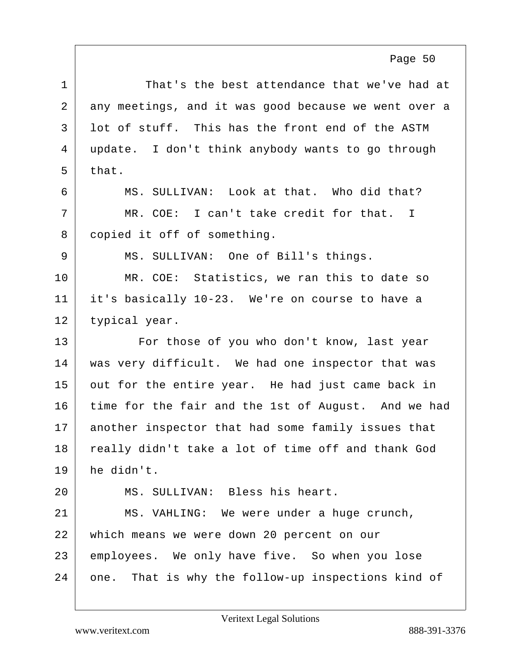1 That's the best attendance that we've had at 2 any meetings, and it was good because we went over a  $3$  lot of stuff. This has the front end of the ASTM 4 update. I don't think anybody wants to go through  $5$  that. 6 MS. SULLIVAN: Look at that. Who did that?  $7$   $\parallel$  MR. COE: I can't take credit for that. I 8 copied it off of something. 9 | MS. SULLIVAN: One of Bill's things. 10 | MR. COE: Statistics, we ran this to date so 11 it's basically 10-23. We're on course to have a 12 typical year. 13 For those of you who don't know, last year 14 was very difficult. We had one inspector that was  $15$  out for the entire year. He had just came back in 16 time for the fair and the 1st of August. And we had 17 another inspector that had some family issues that 18 really didn't take a lot of time off and thank God 19 he didn't. 20 MS. SULLIVAN: Bless his heart. 21 | MS. VAHLING: We were under a huge crunch, 22 which means we were down 20 percent on our 23 employees. We only have five. So when you lose 24 one. That is why the follow-up inspections kind of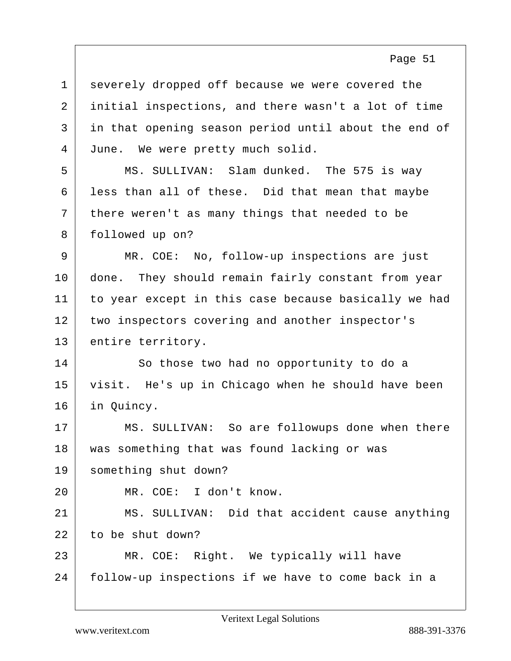| $\mathbf{1}$ | severely dropped off because we were covered the     |
|--------------|------------------------------------------------------|
| 2            | initial inspections, and there wasn't a lot of time  |
| 3            | in that opening season period until about the end of |
| 4            | June. We were pretty much solid.                     |
| 5            | MS. SULLIVAN: Slam dunked. The 575 is way            |
| 6            | less than all of these. Did that mean that maybe     |
| 7            | there weren't as many things that needed to be       |
| 8            | followed up on?                                      |
| 9            | MR. COE: No, follow-up inspections are just          |
| 10           | done. They should remain fairly constant from year   |
| 11           | to year except in this case because basically we had |
| 12           | two inspectors covering and another inspector's      |
| 13           | entire territory.                                    |
| 14           | So those two had no opportunity to do a              |
| 15           | visit. He's up in Chicago when he should have been   |
| 16           | in Quincy.                                           |
| 17           | MS. SULLIVAN: So are followups done when there       |
| 18           | was something that was found lacking or was          |
| 19           |                                                      |
| 20           | something shut down?                                 |
|              | MR. COE: I don't know.                               |
| 21           | MS. SULLIVAN: Did that accident cause anything       |
| 22           | to be shut down?                                     |
| 23           | MR. COE: Right. We typically will have               |
| 24           | follow-up inspections if we have to come back in a   |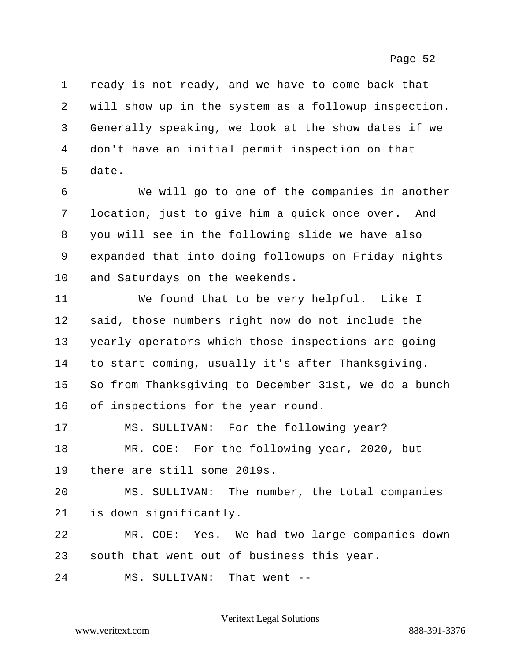ready is not ready, and we have to come back that will show up in the system as a followup inspection. Generally speaking, we look at the show dates if we don't have an initial permit inspection on that 5 date.

6 We will go to one of the companies in another 7 location, just to give him a quick once over. And 8 you will see in the following slide we have also 9 expanded that into doing followups on Friday nights 10 and Saturdays on the weekends.

11 We found that to be very helpful. Like I 12 said, those numbers right now do not include the 13 yearly operators which those inspections are going 14 to start coming, usually it's after Thanksgiving. 15 So from Thanksgiving to December 31st, we do a bunch 16 of inspections for the year round. 17 | MS. SULLIVAN: For the following year? 18 MR. COE: For the following year, 2020, but 19 there are still some 2019s.

20 MS. SULLIVAN: The number, the total companies 21 is down significantly.

22 MR. COE: Yes. We had two large companies down 23 south that went out of business this year.

24 MS. SULLIVAN: That went --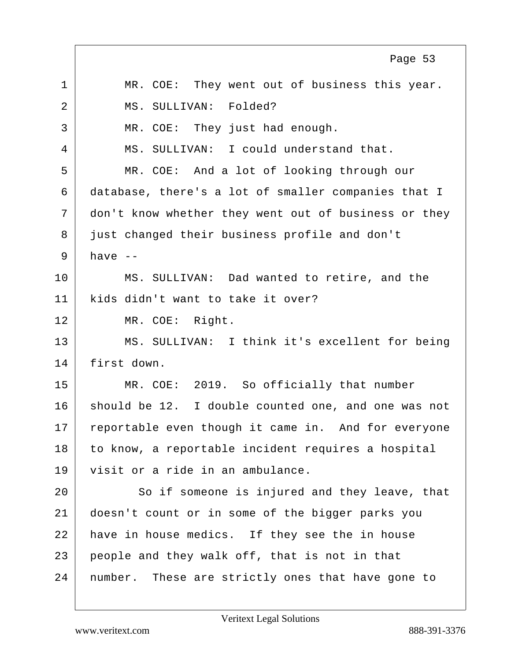1 | MR. COE: They went out of business this year. 2 MS. SULLIVAN: Folded? 3 MR. COE: They just had enough. 4 MS. SULLIVAN: I could understand that. 5 MR. COE: And a lot of looking through our 6 database, there's a lot of smaller companies that I 7 don't know whether they went out of business or they 8 just changed their business profile and don't  $9$  have  $-$ 10 MS. SULLIVAN: Dad wanted to retire, and the 11 | kids didn't want to take it over? 12 MR. COE: Right. 13 MS. SULLIVAN: I think it's excellent for being 14 first down. 15 MR. COE: 2019. So officially that number 16 should be 12. I double counted one, and one was not 17 reportable even though it came in. And for everyone 18 to know, a reportable incident requires a hospital 19 visit or a ride in an ambulance. 20 So if someone is injured and they leave, that 21 doesn't count or in some of the bigger parks you 22 have in house medics. If they see the in house 23 people and they walk off, that is not in that 24 | number. These are strictly ones that have gone to Page 53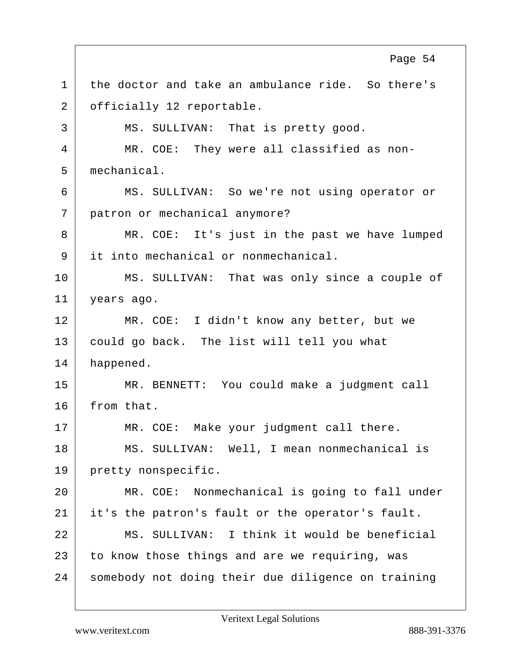1 the doctor and take an ambulance ride. So there's 2 | officially 12 reportable. 3 | MS. SULLIVAN: That is pretty good. 4 | MR. COE: They were all classified as non-5 mechanical. 6 MS. SULLIVAN: So we're not using operator or 7 patron or mechanical anymore? 8 MR. COE: It's just in the past we have lumped 9 it into mechanical or nonmechanical. 10 MS. SULLIVAN: That was only since a couple of 11 years ago. 12 MR. COE: I didn't know any better, but we 13 could go back. The list will tell you what 14 happened. 15 MR. BENNETT: You could make a judgment call 16 from that. 17 MR. COE: Make your judgment call there. 18 MS. SULLIVAN: Well, I mean nonmechanical is 19 pretty nonspecific. 20 MR. COE: Nonmechanical is going to fall under 21 it's the patron's fault or the operator's fault. 22 MS. SULLIVAN: I think it would be beneficial 23 to know those things and are we requiring, was 24 | somebody not doing their due diligence on training Page 54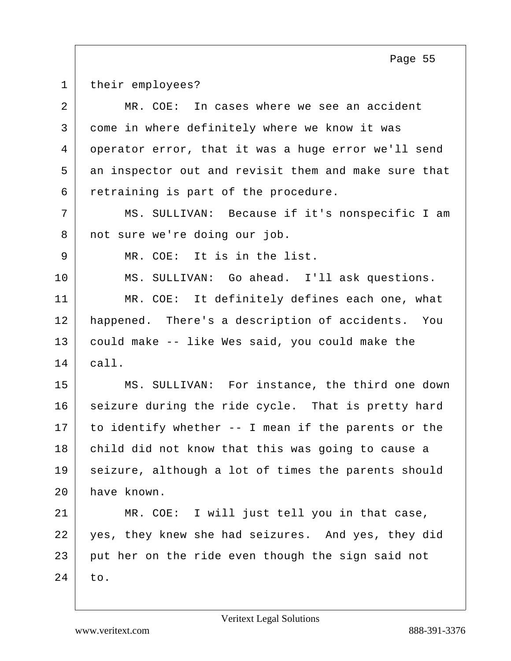1 their employees?

| $\overline{a}$ | MR. COE:<br>In cases where we see an accident        |
|----------------|------------------------------------------------------|
| 3              | come in where definitely where we know it was        |
| 4              | operator error, that it was a huge error we'll send  |
| 5              | an inspector out and revisit them and make sure that |
| 6              | retraining is part of the procedure.                 |
| 7              | MS. SULLIVAN: Because if it's nonspecific I am       |
| 8              | not sure we're doing our job.                        |
| 9              | MR. COE: It is in the list.                          |
| 10             | MS. SULLIVAN: Go ahead. I'll ask questions.          |
| 11             | MR. COE: It definitely defines each one, what        |
| 12             | happened. There's a description of accidents. You    |
| 13             | could make -- like Wes said, you could make the      |
| 14             | call.                                                |
| 15             | MS. SULLIVAN: For instance, the third one down       |
| 16             | seizure during the ride cycle. That is pretty hard   |
| 17             | to identify whether -- I mean if the parents or the  |
| 18             | child did not know that this was going to cause a    |
| 19             | seizure, although a lot of times the parents should  |
| 20             | have known.                                          |
| 21             | MR. COE: I will just tell you in that case,          |
| 22             | yes, they knew she had seizures. And yes, they did   |
| 23             | put her on the ride even though the sign said not    |
| 24             | to.                                                  |
|                |                                                      |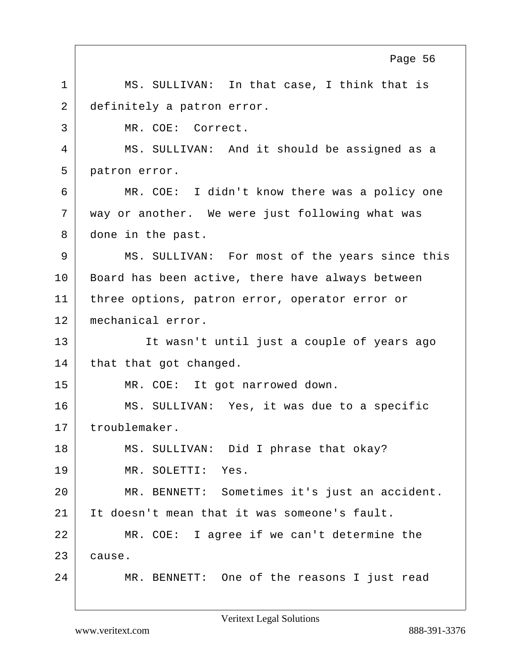1 | MS. SULLIVAN: In that case, I think that is 2 definitely a patron error. 3 MR. COE: Correct. 4 MS. SULLIVAN: And it should be assigned as a 5 patron error. 6 MR. COE: I didn't know there was a policy one 7 way or another. We were just following what was 8 done in the past. 9 MS. SULLIVAN: For most of the years since this 10 | Board has been active, there have always between 11 | three options, patron error, operator error or 12 mechanical error. 13 | It wasn't until just a couple of years ago 14 that that got changed. 15 MR. COE: It got narrowed down. 16 MS. SULLIVAN: Yes, it was due to a specific 17 troublemaker. 18 | MS. SULLIVAN: Did I phrase that okay? 19 MR. SOLETTI: Yes. 20 MR. BENNETT: Sometimes it's just an accident. 21 It doesn't mean that it was someone's fault. 22 MR. COE: I agree if we can't determine the 23 cause. 24 MR. BENNETT: One of the reasons I just read Page 56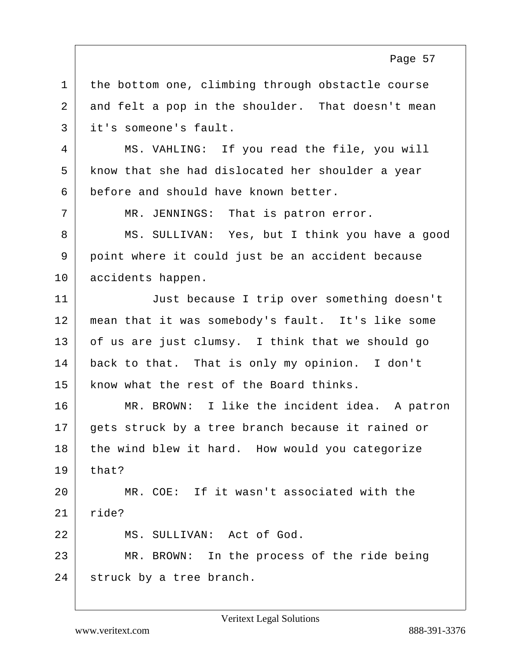1 | the bottom one, climbing through obstactle course 2 and felt a pop in the shoulder. That doesn't mean 3 it's someone's fault.

4 MS. VAHLING: If you read the file, you will 5 know that she had dislocated her shoulder a year 6 before and should have known better.

7 | MR. JENNINGS: That is patron error.

8 MS. SULLIVAN: Yes, but I think you have a good 9 point where it could just be an accident because 10 accidents happen.

11 Just because I trip over something doesn't 12 mean that it was somebody's fault. It's like some  $13$  of us are just clumsy. I think that we should go 14 back to that. That is only my opinion. I don't 15 know what the rest of the Board thinks.

16 MR. BROWN: I like the incident idea. A patron 17 gets struck by a tree branch because it rained or 18 the wind blew it hard. How would you categorize  $19$  that?

20 MR. COE: If it wasn't associated with the 21 ride? 22 MS. SULLIVAN: Act of God.

23 MR. BROWN: In the process of the ride being 24 struck by a tree branch.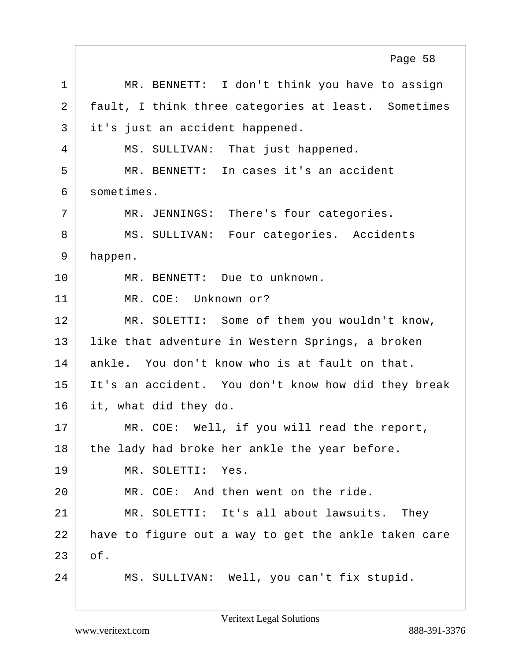1 MR. BENNETT: I don't think you have to assign 2 fault, I think three categories at least. Sometimes 3 it's just an accident happened. 4 | MS. SULLIVAN: That just happened. 5 MR. BENNETT: In cases it's an accident 6 sometimes. 7 | MR. JENNINGS: There's four categories. 8 MS. SULLIVAN: Four categories. Accidents 9 happen. 10 MR. BENNETT: Due to unknown. 11 MR. COE: Unknown or? 12 MR. SOLETTI: Some of them you wouldn't know, 13 | like that adventure in Western Springs, a broken 14 ankle. You don't know who is at fault on that. 15 It's an accident. You don't know how did they break 16 it, what did they do. 17 MR. COE: Well, if you will read the report,  $18$  the lady had broke her ankle the year before. 19 MR. SOLETTI: Yes. 20 MR. COE: And then went on the ride. 21 MR. SOLETTI: It's all about lawsuits. They 22 have to figure out a way to get the ankle taken care  $23$  of. 24 MS. SULLIVAN: Well, you can't fix stupid. Page 58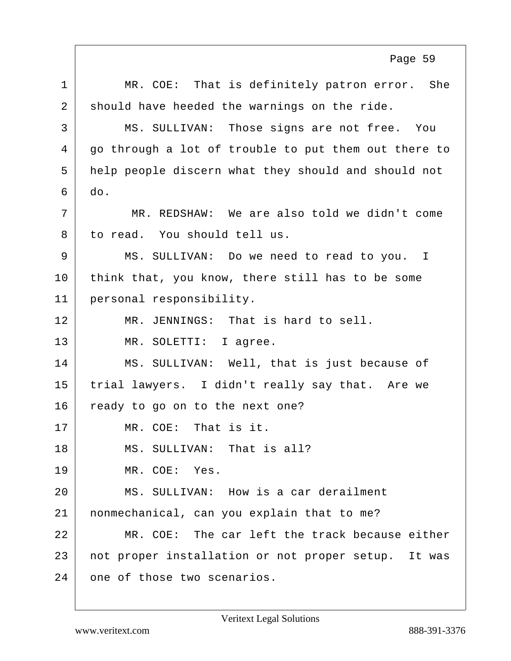1 | MR. COE: That is definitely patron error. She 2 should have heeded the warnings on the ride. 3 MS. SULLIVAN: Those signs are not free. You 4 go through a lot of trouble to put them out there to 5 help people discern what they should and should not  $6 \mid$  do. 7 MR. REDSHAW: We are also told we didn't come 8 to read. You should tell us. 9 MS. SULLIVAN: Do we need to read to you. I 10 think that, you know, there still has to be some 11 personal responsibility. 12 MR. JENNINGS: That is hard to sell. 13 MR. SOLETTI: I agree. 14 MS. SULLIVAN: Well, that is just because of 15 trial lawyers. I didn't really say that. Are we 16 ready to go on to the next one? 17 MR. COE: That is it. 18 MS. SULLIVAN: That is all? 19 MR. COE: Yes. 20 MS. SULLIVAN: How is a car derailment 21 nonmechanical, can you explain that to me? 22 MR. COE: The car left the track because either 23 not proper installation or not proper setup. It was 24 one of those two scenarios. Page 59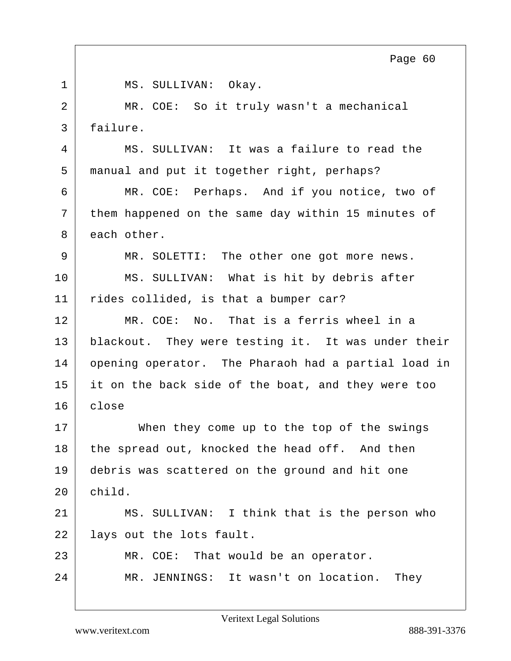| 1              | MS. SULLIVAN: Okay.                                 |
|----------------|-----------------------------------------------------|
| $\overline{2}$ | MR. COE: So it truly wasn't a mechanical            |
| 3              | failure.                                            |
| 4              | MS. SULLIVAN: It was a failure to read the          |
| 5              | manual and put it together right, perhaps?          |
| 6              | MR. COE: Perhaps. And if you notice, two of         |
| 7              | them happened on the same day within 15 minutes of  |
| 8              | each other.                                         |
| 9              | MR. SOLETTI: The other one got more news.           |
| 10             | MS. SULLIVAN: What is hit by debris after           |
| 11             | rides collided, is that a bumper car?               |
| 12             | MR. COE: No. That is a ferris wheel in a            |
| 13             | blackout. They were testing it. It was under their  |
| 14             | opening operator. The Pharaoh had a partial load in |
| 15             | it on the back side of the boat, and they were too  |
| 16             | close                                               |
| 17             | When they come up to the top of the swings          |
| 18             | the spread out, knocked the head off. And then      |
| 19             | debris was scattered on the ground and hit one      |
| 20             | child.                                              |
| 21             | MS. SULLIVAN: I think that is the person who        |
| 22             | lays out the lots fault.                            |
| 23             | MR. COE: That would be an operator.                 |
| 24             | MR. JENNINGS: It wasn't on location.<br>They        |
|                |                                                     |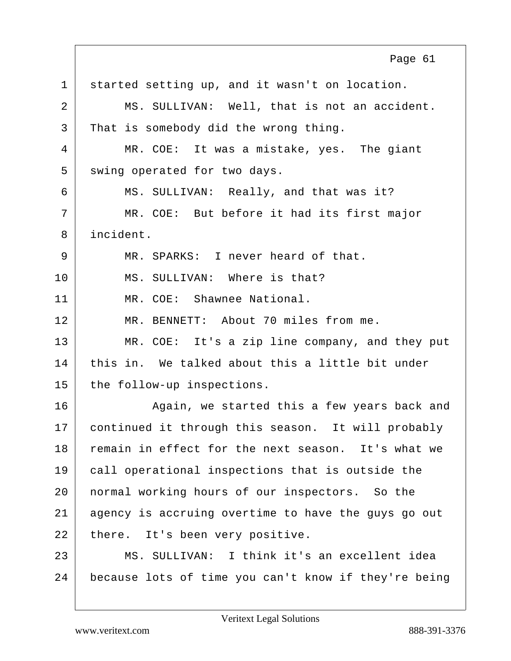1 started setting up, and it wasn't on location. 2 | MS. SULLIVAN: Well, that is not an accident. 3 That is somebody did the wrong thing. 4 MR. COE: It was a mistake, yes. The giant 5 swing operated for two days. 6 MS. SULLIVAN: Really, and that was it? 7 | MR. COE: But before it had its first major 8 incident. 9 MR. SPARKS: I never heard of that. 10 MS. SULLIVAN: Where is that? 11 MR. COE: Shawnee National. 12 MR. BENNETT: About 70 miles from me. 13 MR. COE: It's a zip line company, and they put 14 this in. We talked about this a little bit under 15 the follow-up inspections. 16 Again, we started this a few years back and 17 continued it through this season. It will probably 18 remain in effect for the next season. It's what we 19 call operational inspections that is outside the 20 normal working hours of our inspectors. So the 21 agency is accruing overtime to have the guys go out 22 there. It's been very positive. 23 MS. SULLIVAN: I think it's an excellent idea 24 because lots of time you can't know if they're being Page 61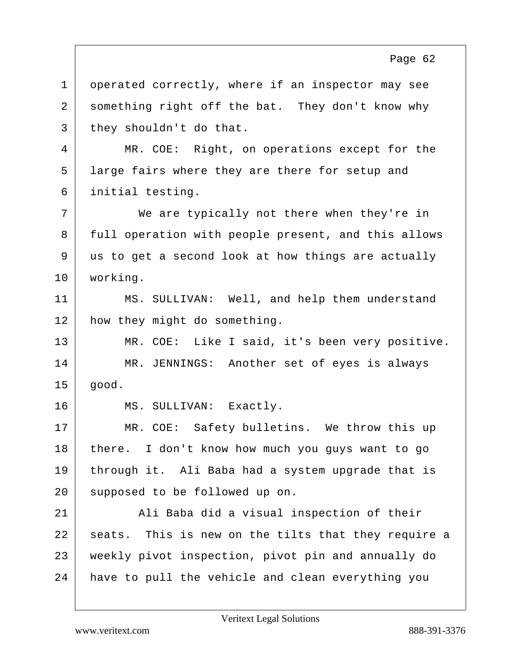1 | operated correctly, where if an inspector may see 2 something right off the bat. They don't know why  $3$  they shouldn't do that. 4 MR. COE: Right, on operations except for the 5 | large fairs where they are there for setup and 6 initial testing. 7 We are typically not there when they're in 8 full operation with people present, and this allows 9 us to get a second look at how things are actually 10 working. 11 | MS. SULLIVAN: Well, and help them understand 12 | how they might do something. 13 MR. COE: Like I said, it's been very positive. 14 MR. JENNINGS: Another set of eyes is always  $15$  qood. 16 MS. SULLIVAN: Exactly. 17 MR. COE: Safety bulletins. We throw this up 18 | there. I don't know how much you guys want to go 19 through it. Ali Baba had a system upgrade that is 20 supposed to be followed up on. 21 | Ali Baba did a visual inspection of their 22 seats. This is new on the tilts that they require a 23 weekly pivot inspection, pivot pin and annually do 24 have to pull the vehicle and clean everything you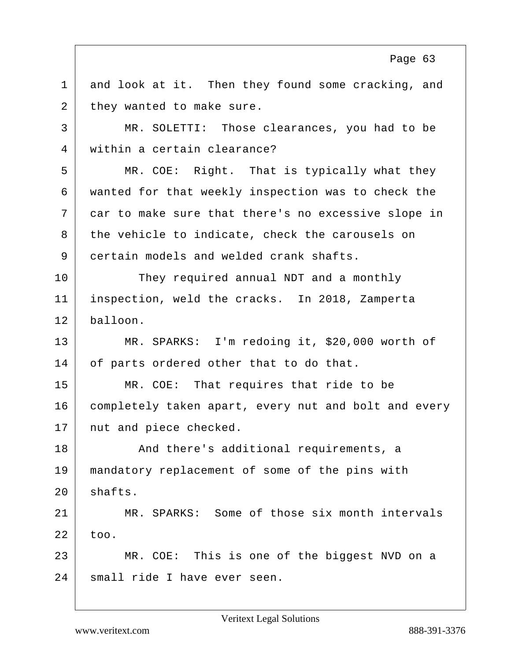$1$  and look at it. Then they found some cracking, and 2 they wanted to make sure. 3 MR. SOLETTI: Those clearances, you had to be 4 within a certain clearance? 5 MR. COE: Right. That is typically what they 6 wanted for that weekly inspection was to check the 7 car to make sure that there's no excessive slope in 8 | the vehicle to indicate, check the carousels on 9 certain models and welded crank shafts. 10 They required annual NDT and a monthly 11 inspection, weld the cracks. In 2018, Zamperta 12 balloon. 13 MR. SPARKS: I'm redoing it, \$20,000 worth of 14 of parts ordered other that to do that. 15 MR. COE: That requires that ride to be 16 completely taken apart, every nut and bolt and every 17 nut and piece checked. 18 And there's additional requirements, a 19 mandatory replacement of some of the pins with  $20$  shafts. 21 MR. SPARKS: Some of those six month intervals  $22$  too. 23 MR. COE: This is one of the biggest NVD on a 24 small ride I have ever seen. Page 63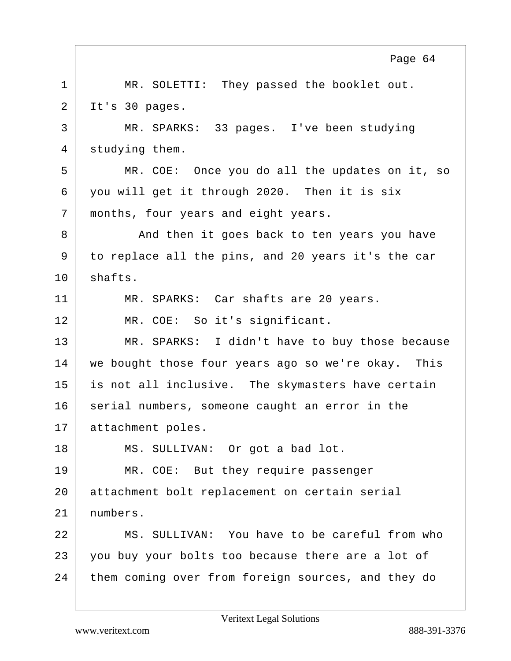1 | MR. SOLETTI: They passed the booklet out.  $2$  It's 30 pages. 3 MR. SPARKS: 33 pages. I've been studying 4 studying them. 5 MR. COE: Once you do all the updates on it, so 6 you will get it through 2020. Then it is six 7 months, four years and eight years. 8 And then it goes back to ten years you have 9 to replace all the pins, and 20 years it's the car 10 shafts. 11 MR. SPARKS: Car shafts are 20 years. 12 MR. COE: So it's significant. 13 MR. SPARKS: I didn't have to buy those because 14 | we bought those four years ago so we're okay. This 15 is not all inclusive. The skymasters have certain 16 serial numbers, someone caught an error in the 17 attachment poles. 18 MS. SULLIVAN: Or got a bad lot. 19 MR. COE: But they require passenger 20 attachment bolt replacement on certain serial 21 numbers. 22 MS. SULLIVAN: You have to be careful from who 23 you buy your bolts too because there are a lot of 24 them coming over from foreign sources, and they do Page 64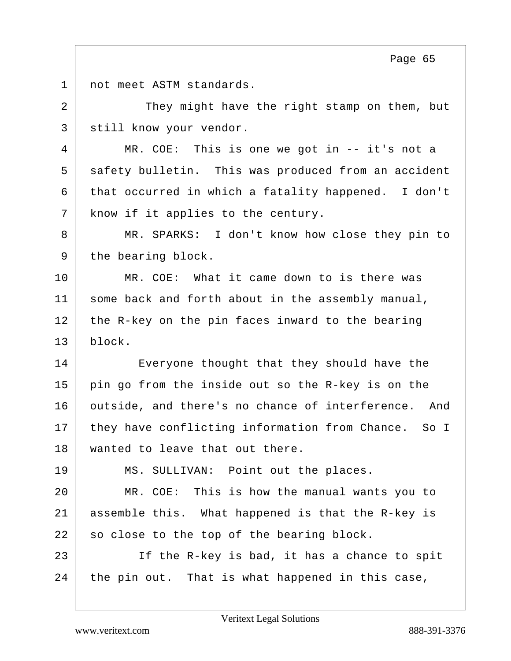1 not meet ASTM standards.

2 They might have the right stamp on them, but 3 | still know your vendor.

4 MR. COE: This is one we got in -- it's not a 5 safety bulletin. This was produced from an accident  $6$  that occurred in which a fatality happened. I don't 7 | know if it applies to the century.

8 MR. SPARKS: I don't know how close they pin to 9 the bearing block.

10 MR. COE: What it came down to is there was 11 some back and forth about in the assembly manual, 12 the R-key on the pin faces inward to the bearing 13 block.

14 Everyone thought that they should have the  $15$  pin go from the inside out so the R-key is on the 16 outside, and there's no chance of interference. And 17 they have conflicting information from Chance. So I 18 wanted to leave that out there.

19 MS. SULLIVAN: Point out the places.

20 MR. COE: This is how the manual wants you to 21 assemble this. What happened is that the R-key is 22 so close to the top of the bearing block.

23 If the R-key is bad, it has a chance to spit  $24$  the pin out. That is what happened in this case,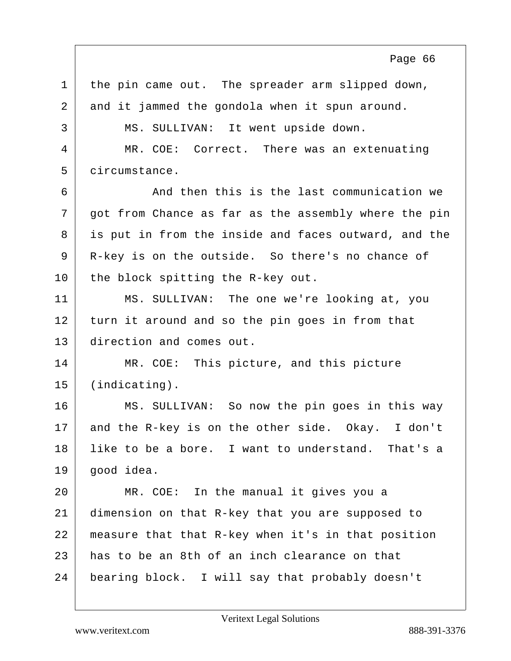$1$  the pin came out. The spreader arm slipped down, 2 and it jammed the gondola when it spun around. 3 | MS. SULLIVAN: It went upside down. 4 MR. COE: Correct. There was an extenuating 5 circumstance. 6 And then this is the last communication we 7 | got from Chance as far as the assembly where the pin 8 is put in from the inside and faces outward, and the 9 | R-key is on the outside. So there's no chance of 10 the block spitting the R-key out. 11 MS. SULLIVAN: The one we're looking at, you 12 turn it around and so the pin goes in from that 13 direction and comes out. 14 MR. COE: This picture, and this picture 15 (indicating). 16 MS. SULLIVAN: So now the pin goes in this way 17 and the R-key is on the other side. Okay. I don't 18 | like to be a bore. I want to understand. That's a  $19$  qood idea. 20 MR. COE: In the manual it gives you a 21 dimension on that R-key that you are supposed to 22 measure that that R-key when it's in that position  $23$  has to be an 8th of an inch clearance on that 24 bearing block. I will say that probably doesn't Page 66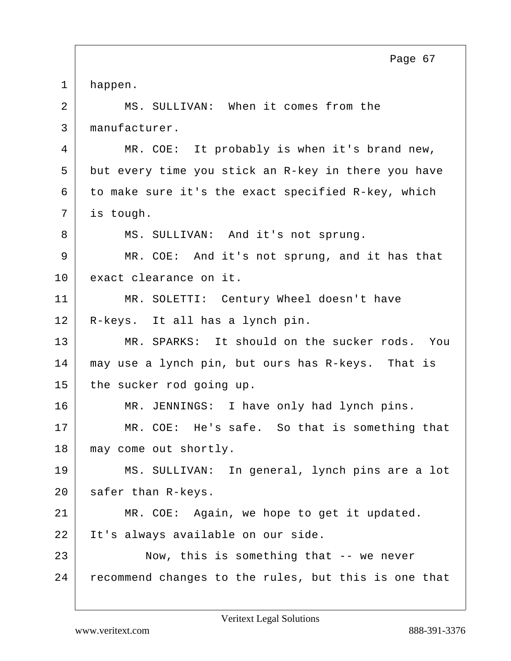1 happen. 2 | MS. SULLIVAN: When it comes from the 3 manufacturer. 4 MR. COE: It probably is when it's brand new, 5 but every time you stick an R-key in there you have  $6$  to make sure it's the exact specified R-key, which 7 is tough. 8 MS. SULLIVAN: And it's not sprung. 9 MR. COE: And it's not sprung, and it has that 10 exact clearance on it. 11 | MR. SOLETTI: Century Wheel doesn't have 12 R-keys. It all has a lynch pin. 13 MR. SPARKS: It should on the sucker rods. You 14 may use a lynch pin, but ours has R-keys. That is 15 the sucker rod going up. 16 MR. JENNINGS: I have only had lynch pins. 17 MR. COE: He's safe. So that is something that 18 may come out shortly. 19 MS. SULLIVAN: In general, lynch pins are a lot  $20$  safer than R-keys. 21 MR. COE: Again, we hope to get it updated. 22 | It's always available on our side. 23 Now, this is something that -- we never 24 recommend changes to the rules, but this is one that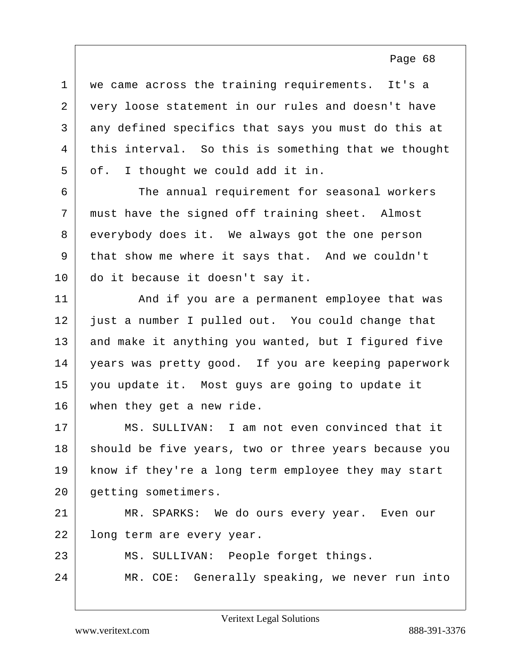1 | we came across the training requirements. It's a 2 | very loose statement in our rules and doesn't have 3 any defined specifics that says you must do this at 4 this interval. So this is something that we thought  $5$  of. I thought we could add it in.

6 The annual requirement for seasonal workers 7 must have the signed off training sheet. Almost 8 everybody does it. We always got the one person 9 that show me where it says that. And we couldn't 10 do it because it doesn't say it.

11 And if you are a permanent employee that was just a number I pulled out. You could change that 13 and make it anything you wanted, but I figured five years was pretty good. If you are keeping paperwork you update it. Most guys are going to update it when they get a new ride.

17 MS. SULLIVAN: I am not even convinced that it 18 should be five years, two or three years because you 19 | know if they're a long term employee they may start 20 getting sometimers.

21 MR. SPARKS: We do ours every year. Even our 22 | long term are every year.

23 MS. SULLIVAN: People forget things.

24 MR. COE: Generally speaking, we never run into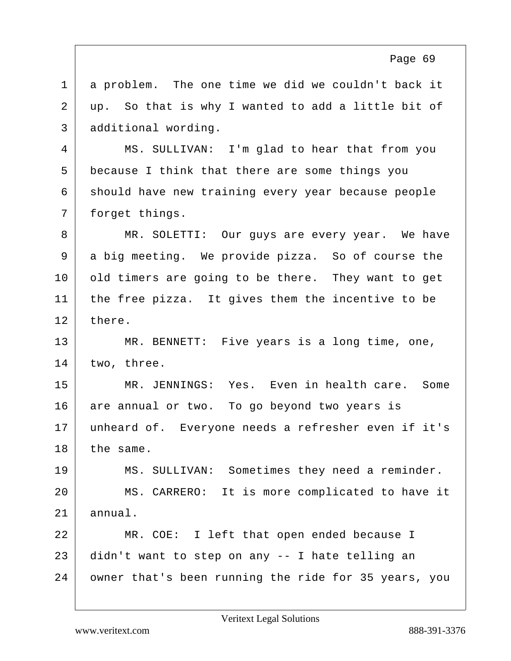1 a problem. The one time we did we couldn't back it 2 up. So that is why I wanted to add a little bit of 3 additional wording.

4 MS. SULLIVAN: I'm glad to hear that from you 5 because I think that there are some things you 6 should have new training every year because people 7 | forget things.

8 MR. SOLETTI: Our quys are every year. We have 9 a big meeting. We provide pizza. So of course the 10 old timers are going to be there. They want to get  $11$  the free pizza. It gives them the incentive to be 12 there.

13 MR. BENNETT: Five years is a long time, one,  $14$  two, three.

15 MR. JENNINGS: Yes. Even in health care. Some 16 are annual or two. To go beyond two years is 17 unheard of. Everyone needs a refresher even if it's 18 the same.

19 MS. SULLIVAN: Sometimes they need a reminder. 20 MS. CARRERO: It is more complicated to have it  $21$  annual.

22 MR. COE: I left that open ended because I 23 didn't want to step on any -- I hate telling an 24 owner that's been running the ride for 35 years, you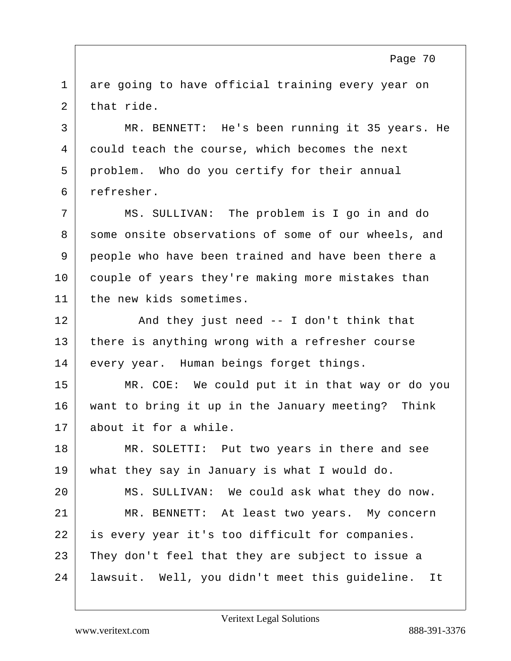1 are going to have official training every year on  $2$  that ride.

3 MR. BENNETT: He's been running it 35 years. He 4 could teach the course, which becomes the next 5 problem. Who do you certify for their annual 6 refresher.

7 | MS. SULLIVAN: The problem is I go in and do 8 some onsite observations of some of our wheels, and 9 people who have been trained and have been there a 10 couple of years they're making more mistakes than 11 the new kids sometimes.

12 And they just need -- I don't think that 13 there is anything wrong with a refresher course 14 every year. Human beings forget things.

15 MR. COE: We could put it in that way or do you 16 want to bring it up in the January meeting? Think 17 about it for a while.

18 MR. SOLETTI: Put two years in there and see 19 | what they say in January is what I would do.

20 MS. SULLIVAN: We could ask what they do now. 21 MR. BENNETT: At least two years. My concern 22 | is every year it's too difficult for companies. 23 They don't feel that they are subject to issue a 24 lawsuit. Well, you didn't meet this guideline. It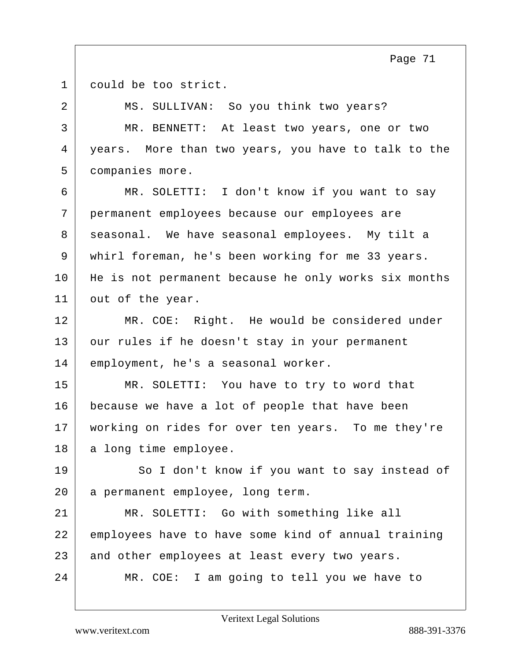1 could be too strict.

2 MS. SULLIVAN: So you think two years? 3 MR. BENNETT: At least two years, one or two 4 years. More than two years, you have to talk to the 5 companies more. 6 MR. SOLETTI: I don't know if you want to say 7 permanent employees because our employees are 8 seasonal. We have seasonal employees. My tilt a 9 whirl foreman, he's been working for me 33 years. 10 | He is not permanent because he only works six months 11 out of the year. 12 MR. COE: Right. He would be considered under 13 our rules if he doesn't stay in your permanent 14 employment, he's a seasonal worker. 15 MR. SOLETTI: You have to try to word that 16 because we have a lot of people that have been 17 | working on rides for over ten years. To me they're 18 a long time employee. 19 So I don't know if you want to say instead of 20 a permanent employee, long term. 21 MR. SOLETTI: Go with something like all 22 employees have to have some kind of annual training 23 and other employees at least every two years. 24 MR. COE: I am going to tell you we have to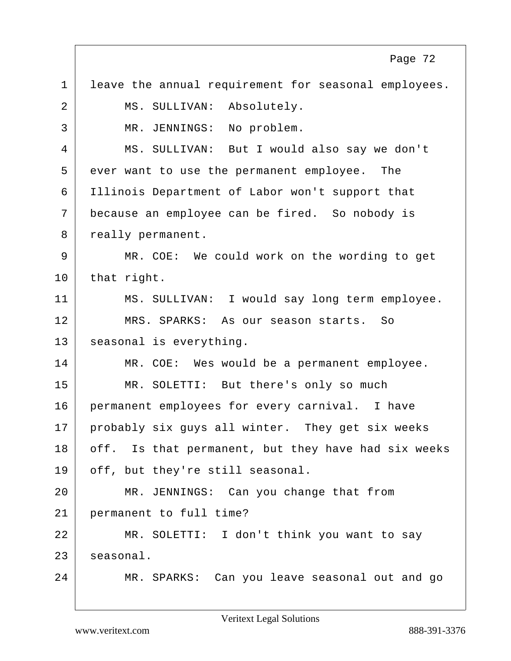$1$  leave the annual requirement for seasonal employees. 2 | MS. SULLIVAN: Absolutely. 3 MR. JENNINGS: No problem. 4 MS. SULLIVAN: But I would also say we don't 5 ever want to use the permanent employee. The 6 Illinois Department of Labor won't support that 7 because an employee can be fired. So nobody is 8 really permanent. 9 MR. COE: We could work on the wording to get  $10$  that right. 11 MS. SULLIVAN: I would say long term employee. 12 MRS. SPARKS: As our season starts. So 13 seasonal is everything. 14 MR. COE: Wes would be a permanent employee. 15 | MR. SOLETTI: But there's only so much 16 permanent employees for every carnival. I have 17 probably six guys all winter. They get six weeks 18 off. Is that permanent, but they have had six weeks 19 off, but they're still seasonal. 20 MR. JENNINGS: Can you change that from 21 permanent to full time? 22 MR. SOLETTI: I don't think you want to say 23 seasonal. 24 MR. SPARKS: Can you leave seasonal out and go Page 72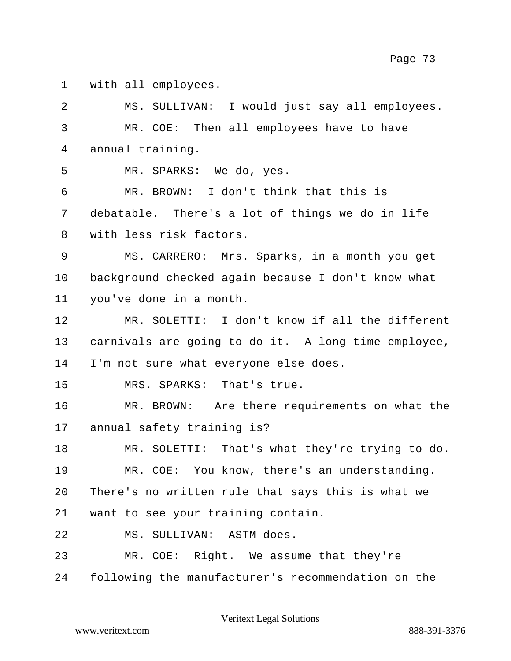| $\overline{2}$<br>MS. SULLIVAN: I would just say all employees.<br>$\mathsf{3}$<br>MR. COE: Then all employees have to have<br>4<br>annual training.<br>5<br>MR. SPARKS: We do, yes.<br>6<br>MR. BROWN: I don't think that this is<br>7<br>debatable. There's a lot of things we do in life<br>with less risk factors.<br>8<br>9<br>MS. CARRERO: Mrs. Sparks, in a month you get<br>10<br>background checked again because I don't know what<br>11<br>you've done in a month.<br>12<br>13<br>14<br>I'm not sure what everyone else does.<br>15<br>MRS. SPARKS: That's true.<br>16<br>17<br>annual safety training is?<br>18<br>19<br>MR. COE: You know, there's an understanding.<br>20<br>There's no written rule that says this is what we<br>21<br>want to see your training contain.<br>22<br>MS. SULLIVAN: ASTM does. | $\mathbf 1$ | with all employees.                                 |
|----------------------------------------------------------------------------------------------------------------------------------------------------------------------------------------------------------------------------------------------------------------------------------------------------------------------------------------------------------------------------------------------------------------------------------------------------------------------------------------------------------------------------------------------------------------------------------------------------------------------------------------------------------------------------------------------------------------------------------------------------------------------------------------------------------------------------|-------------|-----------------------------------------------------|
|                                                                                                                                                                                                                                                                                                                                                                                                                                                                                                                                                                                                                                                                                                                                                                                                                            |             |                                                     |
|                                                                                                                                                                                                                                                                                                                                                                                                                                                                                                                                                                                                                                                                                                                                                                                                                            |             |                                                     |
|                                                                                                                                                                                                                                                                                                                                                                                                                                                                                                                                                                                                                                                                                                                                                                                                                            |             |                                                     |
|                                                                                                                                                                                                                                                                                                                                                                                                                                                                                                                                                                                                                                                                                                                                                                                                                            |             |                                                     |
|                                                                                                                                                                                                                                                                                                                                                                                                                                                                                                                                                                                                                                                                                                                                                                                                                            |             |                                                     |
|                                                                                                                                                                                                                                                                                                                                                                                                                                                                                                                                                                                                                                                                                                                                                                                                                            |             |                                                     |
|                                                                                                                                                                                                                                                                                                                                                                                                                                                                                                                                                                                                                                                                                                                                                                                                                            |             |                                                     |
|                                                                                                                                                                                                                                                                                                                                                                                                                                                                                                                                                                                                                                                                                                                                                                                                                            |             |                                                     |
|                                                                                                                                                                                                                                                                                                                                                                                                                                                                                                                                                                                                                                                                                                                                                                                                                            |             |                                                     |
|                                                                                                                                                                                                                                                                                                                                                                                                                                                                                                                                                                                                                                                                                                                                                                                                                            |             |                                                     |
|                                                                                                                                                                                                                                                                                                                                                                                                                                                                                                                                                                                                                                                                                                                                                                                                                            |             | MR. SOLETTI: I don't know if all the different      |
|                                                                                                                                                                                                                                                                                                                                                                                                                                                                                                                                                                                                                                                                                                                                                                                                                            |             | carnivals are going to do it. A long time employee, |
|                                                                                                                                                                                                                                                                                                                                                                                                                                                                                                                                                                                                                                                                                                                                                                                                                            |             |                                                     |
|                                                                                                                                                                                                                                                                                                                                                                                                                                                                                                                                                                                                                                                                                                                                                                                                                            |             |                                                     |
|                                                                                                                                                                                                                                                                                                                                                                                                                                                                                                                                                                                                                                                                                                                                                                                                                            |             | MR. BROWN: Are there requirements on what the       |
|                                                                                                                                                                                                                                                                                                                                                                                                                                                                                                                                                                                                                                                                                                                                                                                                                            |             |                                                     |
|                                                                                                                                                                                                                                                                                                                                                                                                                                                                                                                                                                                                                                                                                                                                                                                                                            |             | MR. SOLETTI: That's what they're trying to do.      |
|                                                                                                                                                                                                                                                                                                                                                                                                                                                                                                                                                                                                                                                                                                                                                                                                                            |             |                                                     |
|                                                                                                                                                                                                                                                                                                                                                                                                                                                                                                                                                                                                                                                                                                                                                                                                                            |             |                                                     |
|                                                                                                                                                                                                                                                                                                                                                                                                                                                                                                                                                                                                                                                                                                                                                                                                                            |             |                                                     |
|                                                                                                                                                                                                                                                                                                                                                                                                                                                                                                                                                                                                                                                                                                                                                                                                                            |             |                                                     |
| 23<br>MR. COE: Right. We assume that they're                                                                                                                                                                                                                                                                                                                                                                                                                                                                                                                                                                                                                                                                                                                                                                               |             |                                                     |
| 24<br>following the manufacturer's recommendation on the                                                                                                                                                                                                                                                                                                                                                                                                                                                                                                                                                                                                                                                                                                                                                                   |             |                                                     |
|                                                                                                                                                                                                                                                                                                                                                                                                                                                                                                                                                                                                                                                                                                                                                                                                                            |             |                                                     |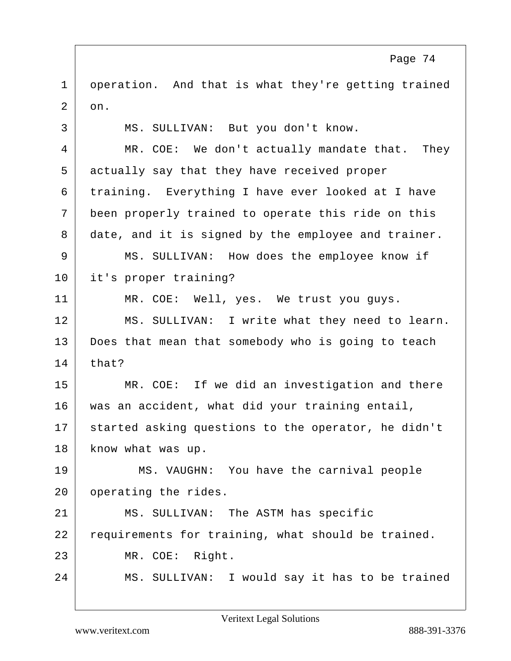1 operation. And that is what they're getting trained  $2 \mid$  on.

3 | MS. SULLIVAN: But you don't know. 4 MR. COE: We don't actually mandate that. They 5 actually say that they have received proper 6 training. Everything I have ever looked at I have 7 been properly trained to operate this ride on this 8 date, and it is signed by the employee and trainer. 9 MS. SULLIVAN: How does the employee know if 10 it's proper training? 11 MR. COE: Well, yes. We trust you quys. 12 MS. SULLIVAN: I write what they need to learn. 13 Does that mean that somebody who is going to teach  $14$  that? 15 MR. COE: If we did an investigation and there 16 was an accident, what did your training entail, 17 started asking questions to the operator, he didn't 18 | know what was up. 19 MS. VAUGHN: You have the carnival people 20 operating the rides. 21 MS. SULLIVAN: The ASTM has specific 22 requirements for training, what should be trained. 23 MR. COE: Right. 24 MS. SULLIVAN: I would say it has to be trained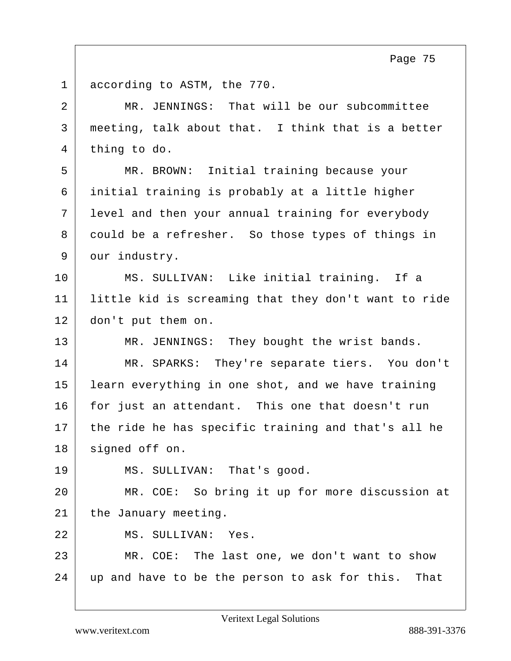1 according to ASTM, the 770.

| 2  | MR. JENNINGS: That will be our subcommittee           |
|----|-------------------------------------------------------|
| 3  | meeting, talk about that. I think that is a better    |
| 4  | thing to do.                                          |
| 5  | MR. BROWN: Initial training because your              |
| 6  | initial training is probably at a little higher       |
| 7  | level and then your annual training for everybody     |
| 8  | could be a refresher. So those types of things in     |
| 9  | our industry.                                         |
| 10 | MS. SULLIVAN: Like initial training. If a             |
| 11 | little kid is screaming that they don't want to ride  |
| 12 | don't put them on.                                    |
| 13 | MR. JENNINGS: They bought the wrist bands.            |
| 14 | MR. SPARKS: They're separate tiers. You don't         |
| 15 | learn everything in one shot, and we have training    |
| 16 | for just an attendant. This one that doesn't run      |
| 17 | the ride he has specific training and that's all he   |
| 18 | signed off on.                                        |
| 19 | MS. SULLIVAN: That's good.                            |
| 20 | MR. COE: So bring it up for more discussion at        |
| 21 | the January meeting.                                  |
| 22 | MS. SULLIVAN: Yes.                                    |
| 23 | MR. COE: The last one, we don't want to show          |
| 24 | up and have to be the person to ask for this.<br>That |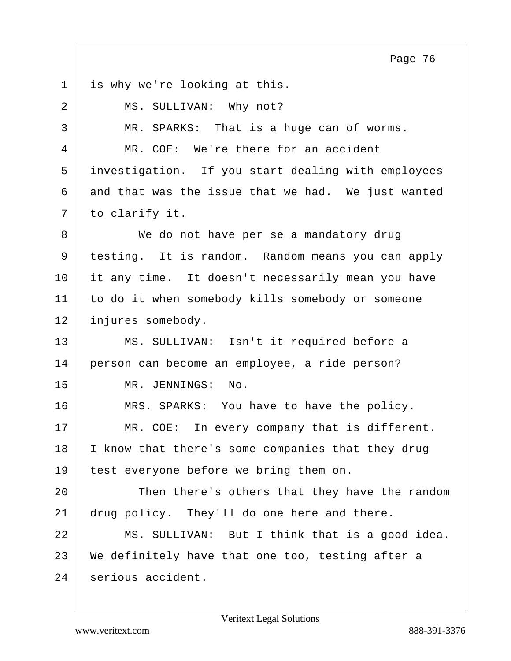1 is why we're looking at this.

| 2  | MS. SULLIVAN: Why not?                             |
|----|----------------------------------------------------|
| 3  | MR. SPARKS: That is a huge can of worms.           |
| 4  | MR. COE: We're there for an accident               |
| 5  | investigation. If you start dealing with employees |
| 6  | and that was the issue that we had. We just wanted |
| 7  | to clarify it.                                     |
| 8  | We do not have per se a mandatory drug             |
| 9  | testing. It is random. Random means you can apply  |
| 10 | it any time. It doesn't necessarily mean you have  |
| 11 | to do it when somebody kills somebody or someone   |
| 12 | injures somebody.                                  |
| 13 | MS. SULLIVAN: Isn't it required before a           |
| 14 | person can become an employee, a ride person?      |
| 15 | MR. JENNINGS:<br>No.                               |
| 16 | MRS. SPARKS: You have to have the policy.          |
| 17 | MR. COE: In every company that is different.       |
| 18 | I know that there's some companies that they drug  |
| 19 | test everyone before we bring them on.             |
| 20 | Then there's others that they have the random      |
| 21 | drug policy. They'll do one here and there.        |
| 22 | MS. SULLIVAN: But I think that is a good idea.     |
| 23 | We definitely have that one too, testing after a   |
| 24 | serious accident.                                  |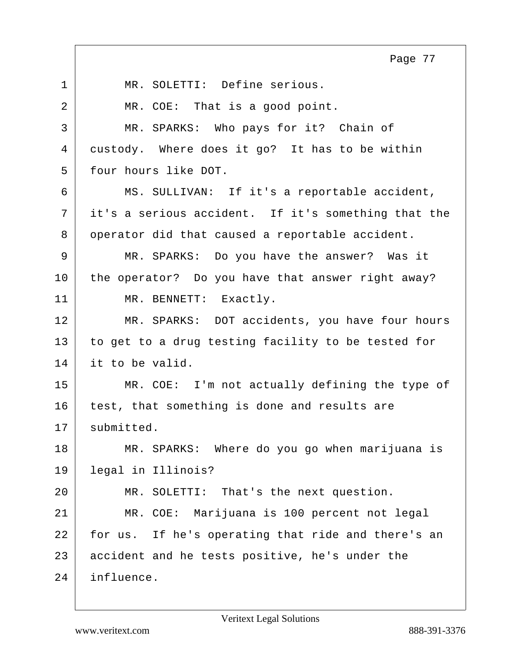1 MR. SOLETTI: Define serious. 2 MR. COE: That is a good point. 3 MR. SPARKS: Who pays for it? Chain of 4 custody. Where does it go? It has to be within 5 four hours like DOT. 6 MS. SULLIVAN: If it's a reportable accident, 7 it's a serious accident. If it's something that the 8 operator did that caused a reportable accident. 9 MR. SPARKS: Do you have the answer? Was it 10 the operator? Do you have that answer right away? 11 MR. BENNETT: Exactly. 12 MR. SPARKS: DOT accidents, you have four hours 13 to get to a drug testing facility to be tested for 14 it to be valid. 15 MR. COE: I'm not actually defining the type of 16 test, that something is done and results are  $17$  submitted. 18 MR. SPARKS: Where do you go when marijuana is 19 legal in Illinois? 20 MR. SOLETTI: That's the next question. 21 MR. COE: Marijuana is 100 percent not legal 22 | for us. If he's operating that ride and there's an 23 accident and he tests positive, he's under the 24 influence. Page 77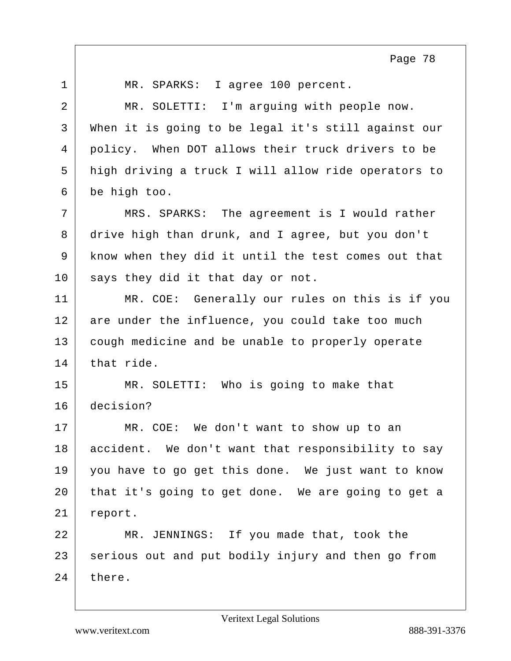1 MR. SPARKS: I agree 100 percent. 2 MR. SOLETTI: I'm arguing with people now. 3 When it is going to be legal it's still against our 4 policy. When DOT allows their truck drivers to be 5 high driving a truck I will allow ride operators to 6 be high too. 7 MRS. SPARKS: The agreement is I would rather 8 drive high than drunk, and I agree, but you don't 9 know when they did it until the test comes out that 10 says they did it that day or not. 11 MR. COE: Generally our rules on this is if you 12 are under the influence, you could take too much 13 cough medicine and be unable to properly operate  $14$  that ride. 15 MR. SOLETTI: Who is going to make that 16 decision? 17 MR. COE: We don't want to show up to an 18 accident. We don't want that responsibility to say 19 you have to go get this done. We just want to know 20 that it's going to get done. We are going to get a 21 report. 22 MR. JENNINGS: If you made that, took the 23 serious out and put bodily injury and then go from 24 there. Page 78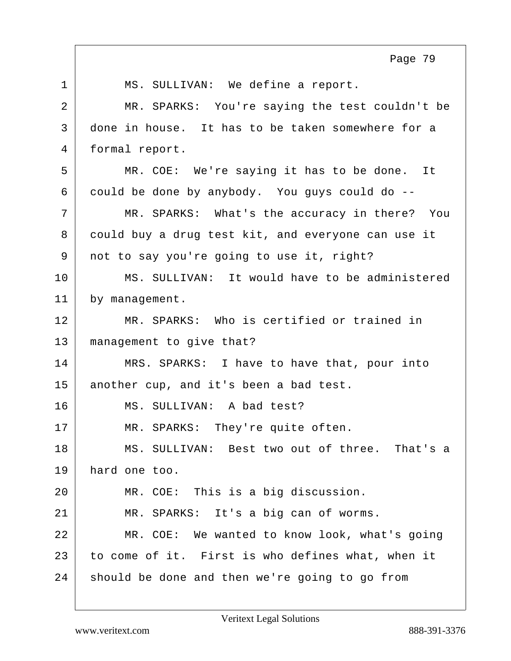| $\mathbf{1}$   | MS. SULLIVAN: We define a report.                  |
|----------------|----------------------------------------------------|
| $\overline{a}$ | MR. SPARKS: You're saying the test couldn't be     |
| 3              | done in house. It has to be taken somewhere for a  |
| 4              | formal report.                                     |
| 5              | MR. COE: We're saying it has to be done. It        |
| 6              | could be done by anybody. You guys could do --     |
| 7              | MR. SPARKS: What's the accuracy in there? You      |
| 8              | could buy a drug test kit, and everyone can use it |
| 9              | not to say you're going to use it, right?          |
| 10             | MS. SULLIVAN: It would have to be administered     |
| 11             | by management.                                     |
| 12             | MR. SPARKS: Who is certified or trained in         |
| 13             | management to give that?                           |
| 14             | MRS. SPARKS: I have to have that, pour into        |
| 15             | another cup, and it's been a bad test.             |
| 16             | MS. SULLIVAN: A bad test?                          |
| 17             | MR. SPARKS: They're quite often.                   |
| 18             | MS. SULLIVAN: Best two out of three.<br>That's a   |
| 19             | hard one too.                                      |
| 20             | MR. COE: This is a big discussion.                 |
| 21             | MR. SPARKS: It's a big can of worms.               |
| 22             | MR. COE: We wanted to know look, what's going      |
| 23             |                                                    |
|                | to come of it. First is who defines what, when it  |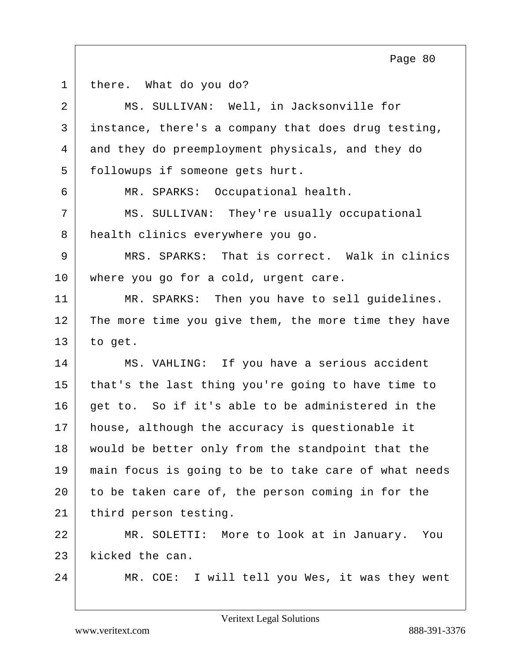| $\mathbf 1$    | there. What do you do?                               |
|----------------|------------------------------------------------------|
| $\overline{2}$ | MS. SULLIVAN: Well, in Jacksonville for              |
| 3              | instance, there's a company that does drug testing,  |
| 4              | and they do preemployment physicals, and they do     |
| 5              | followups if someone gets hurt.                      |
| 6              | MR. SPARKS: Occupational health.                     |
| 7              | MS. SULLIVAN: They're usually occupational           |
| 8              | health clinics everywhere you go.                    |
| 9              | MRS. SPARKS: That is correct. Walk in clinics        |
| 10             | where you go for a cold, urgent care.                |
| 11             | MR. SPARKS: Then you have to sell guidelines.        |
| 12             | The more time you give them, the more time they have |
| 13             | to get.                                              |
| 14             | MS. VAHLING: If you have a serious accident          |
| 15             | that's the last thing you're going to have time to   |
| 16             | get to. So if it's able to be administered in the    |
| 17             | house, although the accuracy is questionable it      |
| 18             | would be better only from the standpoint that the    |
| 19             | main focus is going to be to take care of what needs |
| 20             | to be taken care of, the person coming in for the    |
| 21             | third person testing.                                |
| 22             | MR. SOLETTI: More to look at in January. You         |
| 23             | kicked the can.                                      |
| 24             | MR. COE: I will tell you Wes, it was they went       |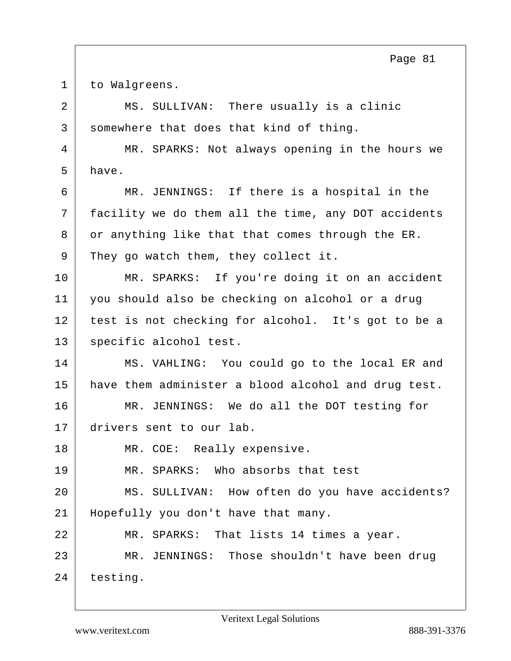1 to Walgreens.

2 MS. SULLIVAN: There usually is a clinic 3 somewhere that does that kind of thing.

4 MR. SPARKS: Not always opening in the hours we  $5$  have.

6 MR. JENNINGS: If there is a hospital in the 7 facility we do them all the time, any DOT accidents  $8$  or anything like that that comes through the ER. 9 They go watch them, they collect it.

10 MR. SPARKS: If you're doing it on an accident 11 you should also be checking on alcohol or a drug 12 test is not checking for alcohol. It's got to be a 13 specific alcohol test.

14 MS. VAHLING: You could go to the local ER and 15 | have them administer a blood alcohol and drug test. 16 MR. JENNINGS: We do all the DOT testing for

17 drivers sent to our lab.

18 MR. COE: Really expensive.

19 MR. SPARKS: Who absorbs that test

20 MS. SULLIVAN: How often do you have accidents? 21 Hopefully you don't have that many.

22 MR. SPARKS: That lists 14 times a year. 23 MR. JENNINGS: Those shouldn't have been drug 24 testing.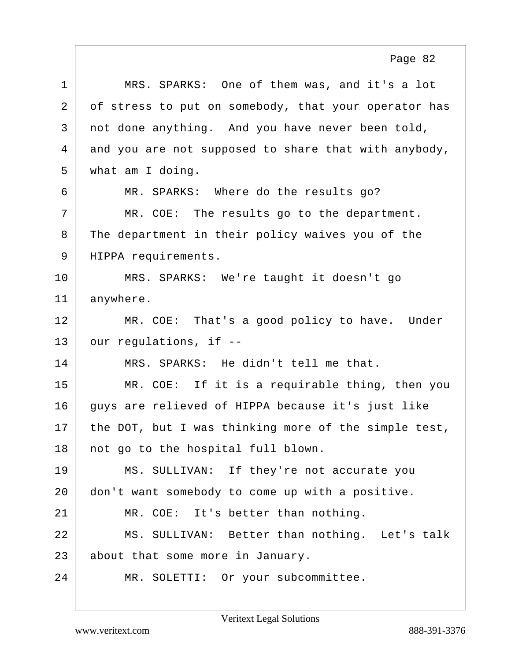| $\mathbf 1$  | MRS. SPARKS: One of them was, and it's a lot         |
|--------------|------------------------------------------------------|
| 2            | of stress to put on somebody, that your operator has |
| $\mathsf{3}$ | not done anything. And you have never been told,     |
| 4            | and you are not supposed to share that with anybody, |
| 5            | what am I doing.                                     |
| 6            | MR. SPARKS: Where do the results go?                 |
| 7            | MR. COE: The results go to the department.           |
| 8            | The department in their policy waives you of the     |
| 9            | HIPPA requirements.                                  |
| 10           | MRS. SPARKS: We're taught it doesn't go              |
| 11           | anywhere.                                            |
| 12           | MR. COE: That's a good policy to have. Under         |
| 13           | our regulations, if --                               |
| 14           | MRS. SPARKS: He didn't tell me that.                 |
| 15           | MR. COE: If it is a requirable thing, then you       |
| 16           | guys are relieved of HIPPA because it's just like    |
| 17           | the DOT, but I was thinking more of the simple test, |
| 18           | not go to the hospital full blown.                   |
| 19           | MS. SULLIVAN: If they're not accurate you            |
| 20           | don't want somebody to come up with a positive.      |
| 21           | MR. COE: It's better than nothing.                   |
| 22           | MS. SULLIVAN: Better than nothing. Let's talk        |
| 23           | about that some more in January.                     |
| 24           | MR. SOLETTI: Or your subcommittee.                   |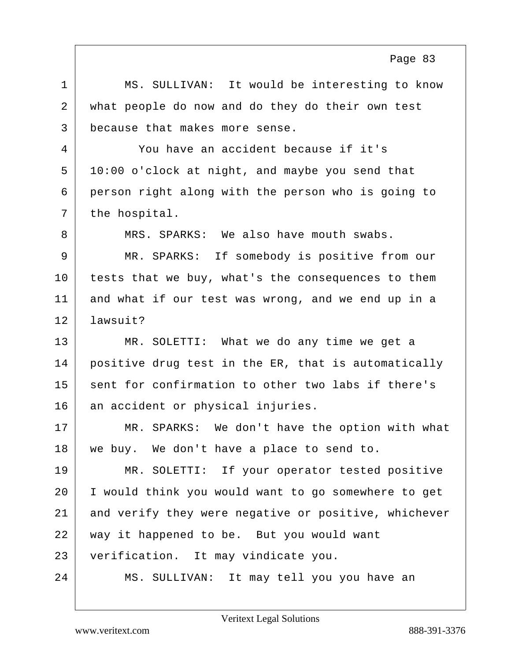1 MS. SULLIVAN: It would be interesting to know 2 what people do now and do they do their own test 3 because that makes more sense. 4 You have an accident because if it's  $5 \mid 10:00$  o'clock at night, and maybe you send that 6 person right along with the person who is going to  $7$  the hospital. 8 MRS. SPARKS: We also have mouth swabs. 9 MR. SPARKS: If somebody is positive from our 10 tests that we buy, what's the consequences to them 11 and what if our test was wrong, and we end up in a 12 lawsuit? 13 MR. SOLETTI: What we do any time we get a 14 positive drug test in the ER, that is automatically 15 sent for confirmation to other two labs if there's 16 an accident or physical injuries. 17 MR. SPARKS: We don't have the option with what 18 | we buy. We don't have a place to send to. 19 MR. SOLETTI: If your operator tested positive 20 I would think you would want to go somewhere to get 21 and verify they were negative or positive, whichever 22 way it happened to be. But you would want 23 verification. It may vindicate you. 24 MS. SULLIVAN: It may tell you you have an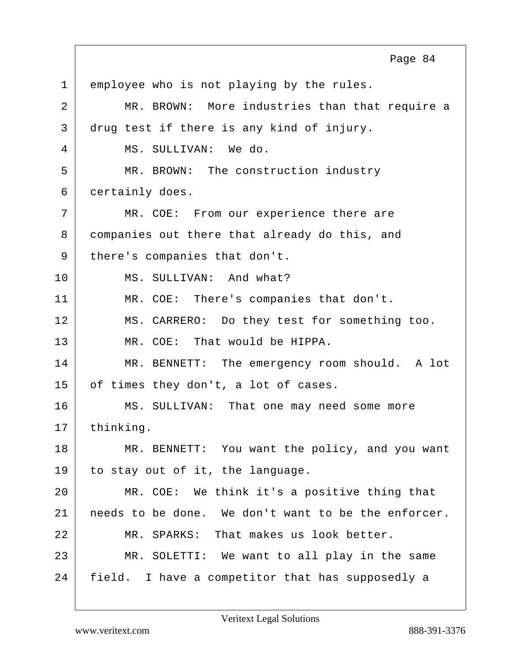1 employee who is not playing by the rules. 2 MR. BROWN: More industries than that require a 3 drug test if there is any kind of injury. 4 MS. SULLIVAN: We do. 5 MR. BROWN: The construction industry 6 certainly does. 7 | MR. COE: From our experience there are 8 companies out there that already do this, and 9 | there's companies that don't. 10 MS. SULLIVAN: And what? 11 | MR. COE: There's companies that don't. 12 | MS. CARRERO: Do they test for something too. 13 MR. COE: That would be HIPPA. 14 MR. BENNETT: The emergency room should. A lot 15 | of times they don't, a lot of cases. 16 MS. SULLIVAN: That one may need some more 17 thinking. 18 MR. BENNETT: You want the policy, and you want 19 to stay out of it, the language. 20 MR. COE: We think it's a positive thing that 21 needs to be done. We don't want to be the enforcer. 22 MR. SPARKS: That makes us look better. 23 MR. SOLETTI: We want to all play in the same 24 | field. I have a competitor that has supposedly a Page 84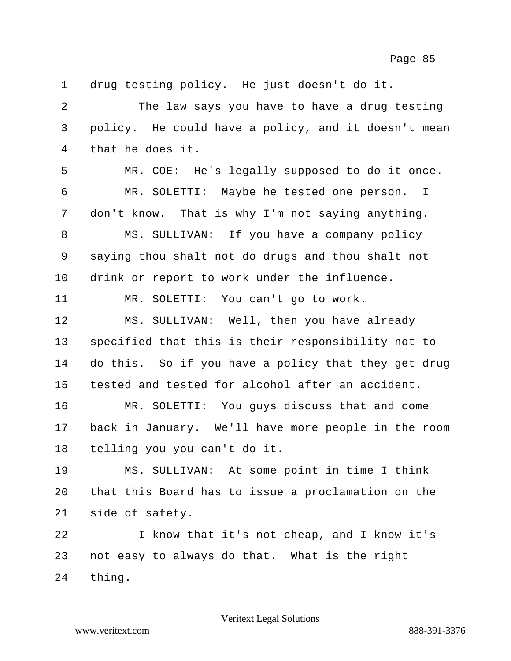| $\mathbf{1}$   | drug testing policy. He just doesn't do it.         |
|----------------|-----------------------------------------------------|
| $\overline{a}$ | The law says you have to have a drug testing        |
| $\mathsf{3}$   | policy. He could have a policy, and it doesn't mean |
| 4              | that he does it.                                    |
| 5              | MR. COE: He's legally supposed to do it once.       |
| 6              | MR. SOLETTI: Maybe he tested one person. I          |
| 7              | don't know. That is why I'm not saying anything.    |
| 8              | MS. SULLIVAN: If you have a company policy          |
| 9              | saying thou shalt not do drugs and thou shalt not   |
| 10             | drink or report to work under the influence.        |
| 11             | MR. SOLETTI: You can't go to work.                  |
| 12             | MS. SULLIVAN: Well, then you have already           |
| 13             | specified that this is their responsibility not to  |
| 14             | do this. So if you have a policy that they get drug |
| 15             | tested and tested for alcohol after an accident.    |
| 16             | MR. SOLETTI: You guys discuss that and come         |
| 17             | back in January. We'll have more people in the room |
| 18             | telling you you can't do it.                        |
| 19             | MS. SULLIVAN: At some point in time I think         |
| 20             | that this Board has to issue a proclamation on the  |
| 21             | side of safety.                                     |
| 22             | I know that it's not cheap, and I know it's         |
| 23             | not easy to always do that. What is the right       |
| 24             | thing.                                              |
|                |                                                     |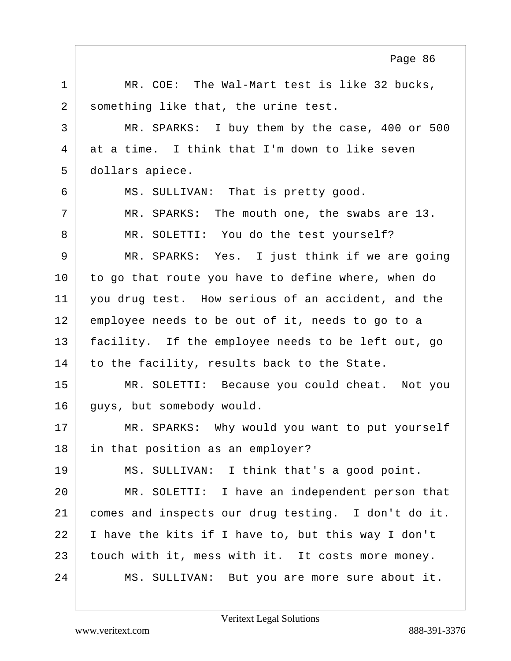1 | MR. COE: The Wal-Mart test is like 32 bucks, 2 something like that, the urine test. 3 MR. SPARKS: I buy them by the case, 400 or 500 4 at a time. I think that I'm down to like seven 5 dollars apiece. 6 MS. SULLIVAN: That is pretty good. 7 MR. SPARKS: The mouth one, the swabs are 13. 8 MR. SOLETTI: You do the test yourself? 9 MR. SPARKS: Yes. I just think if we are going 10 to go that route you have to define where, when do 11 you drug test. How serious of an accident, and the 12 employee needs to be out of it, needs to go to a 13 facility. If the employee needs to be left out, go 14 to the facility, results back to the State. 15 MR. SOLETTI: Because you could cheat. Not you 16 guys, but somebody would. 17 MR. SPARKS: Why would you want to put yourself 18 in that position as an employer? 19 MS. SULLIVAN: I think that's a good point. 20 MR. SOLETTI: I have an independent person that 21 comes and inspects our drug testing. I don't do it. 22 I have the kits if I have to, but this way I don't 23 touch with it, mess with it. It costs more money. 24 MS. SULLIVAN: But you are more sure about it. Page 86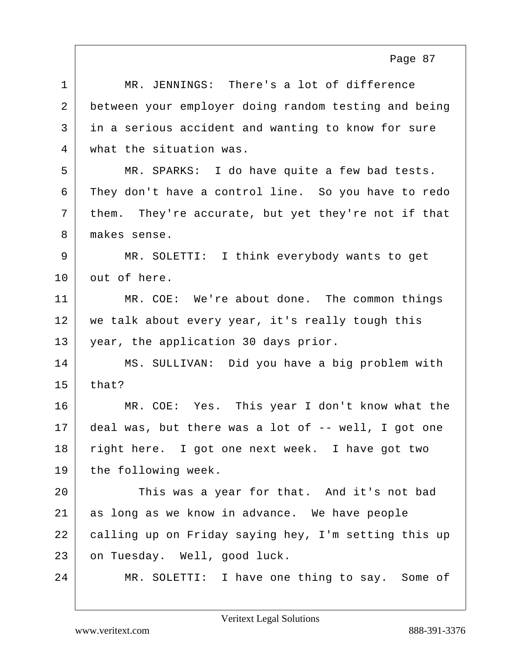| MR. JENNINGS: There's a lot of difference            |
|------------------------------------------------------|
| between your employer doing random testing and being |
| in a serious accident and wanting to know for sure   |
| what the situation was.                              |
| MR. SPARKS: I do have quite a few bad tests.         |
| They don't have a control line. So you have to redo  |
| them. They're accurate, but yet they're not if that  |
| makes sense.                                         |
| MR. SOLETTI: I think everybody wants to get          |
| out of here.                                         |
| MR. COE: We're about done. The common things         |
| we talk about every year, it's really tough this     |
| year, the application 30 days prior.                 |
| MS. SULLIVAN: Did you have a big problem with        |
| that?                                                |
| MR. COE: Yes. This year I don't know what the        |
| deal was, but there was a lot of -- well, I got one  |
| right here. I got one next week. I have got two      |
| the following week.                                  |
| This was a year for that. And it's not bad           |
| as long as we know in advance. We have people        |
| calling up on Friday saying hey, I'm setting this up |
| on Tuesday. Well, good luck.                         |
| MR. SOLETTI: I have one thing to say. Some of        |
|                                                      |